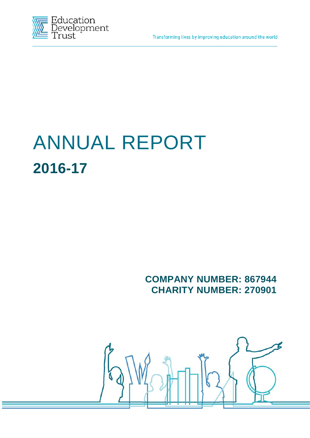Transforming lives by improving education around the world



# ANNUAL REPORT **2016-17**

**COMPANY NUMBER: 867944 CHARITY NUMBER: 270901**

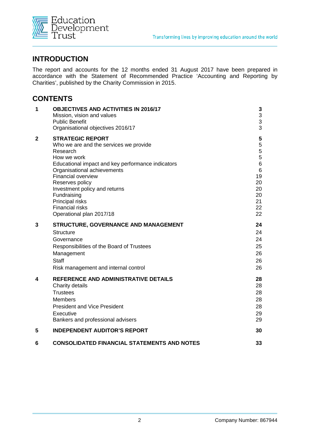

## **INTRODUCTION**

The report and accounts for the 12 months ended 31 August 2017 have been prepared in accordance with the Statement of Recommended Practice 'Accounting and Reporting by Charities', published by the Charity Commission in 2015.

# **CONTENTS**

| 1            | <b>OBJECTIVES AND ACTIVITIES IN 2016/17</b><br>Mission, vision and values<br><b>Public Benefit</b><br>Organisational objectives 2016/17                                                                                                                                                                                                                   | 3<br>3<br>3<br>3                                                                  |
|--------------|-----------------------------------------------------------------------------------------------------------------------------------------------------------------------------------------------------------------------------------------------------------------------------------------------------------------------------------------------------------|-----------------------------------------------------------------------------------|
| $\mathbf{2}$ | <b>STRATEGIC REPORT</b><br>Who we are and the services we provide<br>Research<br>How we work<br>Educational impact and key performance indicators<br>Organisational achievements<br><b>Financial overview</b><br>Reserves policy<br>Investment policy and returns<br>Fundraising<br>Principal risks<br><b>Financial risks</b><br>Operational plan 2017/18 | 5<br>5<br>5<br>5<br>6<br>$6\phantom{1}$<br>19<br>20<br>20<br>20<br>21<br>22<br>22 |
| 3            | STRUCTURE, GOVERNANCE AND MANAGEMENT<br><b>Structure</b><br>Governance<br>Responsibilities of the Board of Trustees<br>Management<br>Staff<br>Risk management and internal control                                                                                                                                                                        | 24<br>24<br>24<br>25<br>26<br>26<br>26                                            |
| 4            | REFERENCE AND ADMINISTRATIVE DETAILS<br>Charity details<br><b>Trustees</b><br><b>Members</b><br><b>President and Vice President</b><br>Executive<br>Bankers and professional advisers                                                                                                                                                                     | 28<br>28<br>28<br>28<br>28<br>29<br>29                                            |
| 5            | <b>INDEPENDENT AUDITOR'S REPORT</b>                                                                                                                                                                                                                                                                                                                       | 30                                                                                |
| 6            | <b>CONSOLIDATED FINANCIAL STATEMENTS AND NOTES</b>                                                                                                                                                                                                                                                                                                        | 33                                                                                |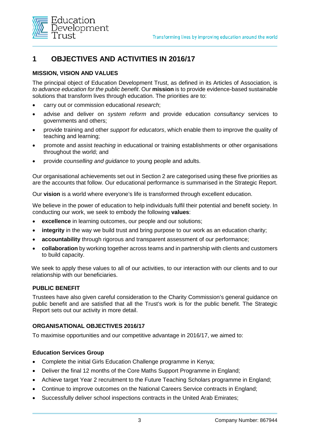

# **1 OBJECTIVES AND ACTIVITIES IN 2016/17**

#### **MISSION, VISION AND VALUES**

The principal object of Education Development Trust, as defined in its Articles of Association, is *to advance education for the public benefit*. Our **mission** is to provide evidence-based sustainable solutions that transform lives through education. The priorities are to:

- carry out or commission educational *research*;
- advise and deliver on *system reform* and provide education *consultancy* services to governments and others;
- provide training and other *support for educators*, which enable them to improve the quality of teaching and learning;
- promote and assist *teaching* in educational or training establishments or other organisations throughout the world; and
- provide *counselling and guidance* to young people and adults.

Our organisational achievements set out in Section 2 are categorised using these five priorities as are the accounts that follow. Our educational performance is summarised in the Strategic Report.

Our **vision** is a world where everyone's life is transformed through excellent education.

We believe in the power of education to help individuals fulfil their potential and benefit society. In conducting our work, we seek to embody the following **values**:

- **excellence** in learning outcomes, our people and our solutions;
- integrity in the way we build trust and bring purpose to our work as an education charity;
- **accountability** through rigorous and transparent assessment of our performance;
- **collaboration** by working together across teams and in partnership with clients and customers to build capacity.

We seek to apply these values to all of our activities, to our interaction with our clients and to our relationship with our beneficiaries.

#### **PUBLIC BENEFIT**

Trustees have also given careful consideration to the Charity Commission's general guidance on public benefit and are satisfied that all the Trust's work is for the public benefit. The Strategic Report sets out our activity in more detail.

#### **ORGANISATIONAL OBJECTIVES 2016/17**

To maximise opportunities and our competitive advantage in 2016/17, we aimed to:

#### **Education Services Group**

- Complete the initial Girls Education Challenge programme in Kenya;
- Deliver the final 12 months of the Core Maths Support Programme in England;
- Achieve target Year 2 recruitment to the Future Teaching Scholars programme in England;
- Continue to improve outcomes on the National Careers Service contracts in England;
- Successfully deliver school inspections contracts in the United Arab Emirates;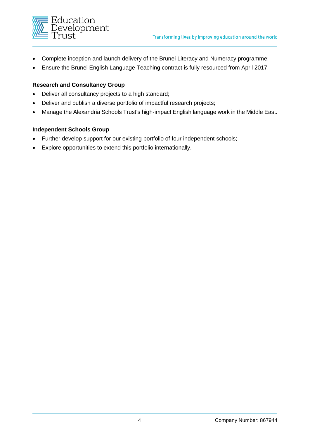

- Complete inception and launch delivery of the Brunei Literacy and Numeracy programme;
- Ensure the Brunei English Language Teaching contract is fully resourced from April 2017.

#### **Research and Consultancy Group**

- Deliver all consultancy projects to a high standard;
- Deliver and publish a diverse portfolio of impactful research projects;
- Manage the Alexandria Schools Trust's high-impact English language work in the Middle East.

#### **Independent Schools Group**

- Further develop support for our existing portfolio of four independent schools;
- Explore opportunities to extend this portfolio internationally.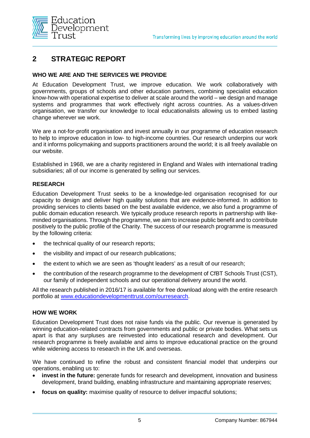

# **2 STRATEGIC REPORT**

#### **WHO WE ARE AND THE SERVICES WE PROVIDE**

At Education Development Trust, we improve education. We work collaboratively with governments, groups of schools and other education partners, combining specialist education know-how with operational expertise to deliver at scale around the world – we design and manage systems and programmes that work effectively right across countries. As a values-driven organisation, we transfer our knowledge to local educationalists allowing us to embed lasting change wherever we work.

We are a not-for-profit organisation and invest annually in our programme of education research to help to improve education in low- to high-income countries. Our research underpins our work and it informs policymaking and supports practitioners around the world; it is all freely available on our website.

Established in 1968, we are a charity registered in England and Wales with international trading subsidiaries; all of our income is generated by selling our services.

#### **RESEARCH**

Education Development Trust seeks to be a knowledge-led organisation recognised for our capacity to design and deliver high quality solutions that are evidence-informed. In addition to providing services to clients based on the best available evidence, we also fund a programme of public domain education research. We typically produce research reports in partnership with likeminded organisations. Through the programme, we aim to increase public benefit and to contribute positively to the public profile of the Charity. The success of our research programme is measured by the following criteria:

- the technical quality of our research reports;
- the visibility and impact of our research publications;
- the extent to which we are seen as 'thought leaders' as a result of our research;
- the contribution of the research programme to the development of CfBT Schools Trust (CST), our family of independent schools and our operational delivery around the world.

All the research published in 2016/17 is available for free download along with the entire research portfolio at [www.educationdevelopmenttrust.com/ourresearch.](http://www.educationdevelopmenttrust.com/ourresearch)

#### **HOW WE WORK**

Education Development Trust does not raise funds via the public. Our revenue is generated by winning education-related contracts from governments and public or private bodies. What sets us apart is that any surpluses are reinvested into educational research and development. Our research programme is freely available and aims to improve educational practice on the ground while widening access to research in the UK and overseas.

We have continued to refine the robust and consistent financial model that underpins our operations, enabling us to:

- **invest in the future:** generate funds for research and development, innovation and business development, brand building, enabling infrastructure and maintaining appropriate reserves;
- **focus on quality:** maximise quality of resource to deliver impactful solutions;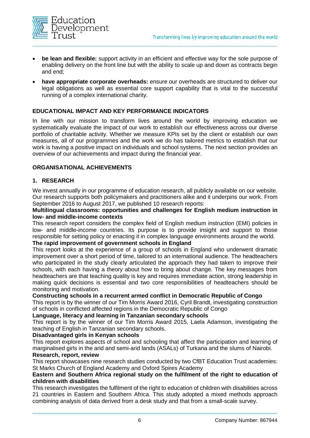

- **be lean and flexible:** support activity in an efficient and effective way for the sole purpose of enabling delivery on the front line but with the ability to scale up and down as contracts begin and end;
- **have appropriate corporate overheads:** ensure our overheads are structured to deliver our legal obligations as well as essential core support capability that is vital to the successful running of a complex international charity.

#### **EDUCATIONAL IMPACT AND KEY PERFORMANCE INDICATORS**

In line with our mission to transform lives around the world by improving education we systematically evaluate the impact of our work to establish our effectiveness across our diverse portfolio of charitable activity. Whether we measure KPIs set by the client or establish our own measures, all of our programmes and the work we do has tailored metrics to establish that our work is having a positive impact on individuals and school systems. The next section provides an overview of our achievements and impact during the financial year.

#### **ORGANISATIONAL ACHIEVEMENTS**

#### **1. RESEARCH**

We invest annually in our programme of education research, all publicly available on our website. Our research supports both policymakers and practitioners alike and it underpins our work. From September 2016 to August 2017, we published 10 research reports:

#### **Multilingual classrooms: opportunities and challenges for English medium instruction in low- and middle-income contexts**

This research report considers the complex field of English medium instruction (EMI) policies in low- and middle-income countries. Its purpose is to provide insight and support to those responsible for setting policy or enacting it in complex language environments around the world.

#### **The rapid improvement of government schools in England**

This report looks at the experience of a group of schools in England who underwent dramatic improvement over a short period of time, tailored to an international audience. The headteachers who participated in the study clearly articulated the approach they had taken to improve their schools, with each having a theory about how to bring about change. The key messages from headteachers are that teaching quality is key and requires immediate action, strong leadership in making quick decisions is essential and two core responsibilities of headteachers should be monitoring and motivation.

#### **Constructing schools in a recurrent armed conflict in Democratic Republic of Congo**

This report is by the winner of our Tim Morris Award 2016, Cyril Brandt, investigating construction of schools in conflicted affected regions in the Democratic Republic of Congo

#### **Language, literacy and learning in Tanzanian secondary schools**

This report is by the winner of our Tim Morris Award 2015, Laela Adamson, investigating the teaching of English in Tanzanian secondary schools.

#### **Disadvantaged girls in Kenyan schools**

This report explores aspects of school and schooling that affect the participation and learning of marginalised girls in the arid and semi-arid lands (ASALs) of Turkana and the slums of Nairobi.

#### **Research, report, review**

This report showcases nine research studies conducted by two CfBT Education Trust academies: St Marks Church of England Academy and Oxford Spires Academy

#### **Eastern and Southern Africa regional study on the fulfilment of the right to education of children with disabilities**

This research investigates the fulfilment of the right to education of children with disabilities across 21 countries in Eastern and Southern Africa. This study adopted a mixed methods approach combining analysis of data derived from a desk study and that from a small-scale survey.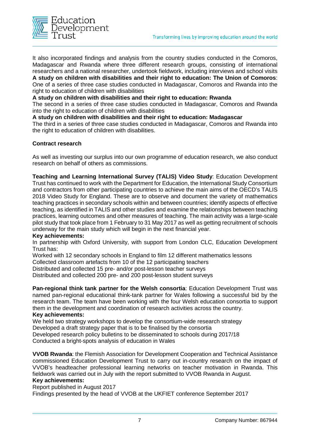

It also incorporated findings and analysis from the country studies conducted in the Comoros, Madagascar and Rwanda where three different research groups, consisting of international researchers and a national researcher, undertook fieldwork, including interviews and school visits **A study on children with disabilities and their right to education: The Union of Comoros**: One of a series of three case studies conducted in Madagascar, Comoros and Rwanda into the right to education of children with disabilities

**A study on children with disabilities and their right to education: Rwanda**

The second in a series of three case studies conducted in Madagascar, Comoros and Rwanda into the right to education of children with disabilities

#### **A study on children with disabilities and their right to education: Madagascar**

The third in a series of three case studies conducted in Madagascar, Comoros and Rwanda into the right to education of children with disabilities.

#### **Contract research**

As well as investing our surplus into our own programme of education research, we also conduct research on behalf of others as commissions.

**Teaching and Learning International Survey (TALIS) Video Study**: Education Development Trust has continued to work with the Department for Education, the International Study Consortium and contractors from other participating countries to achieve the main aims of the OECD's TALIS 2018 Video Study for England. These are to observe and document the variety of mathematics teaching practices in secondary schools within and between countries; identify aspects of effective teaching, as identified in TALIS and other studies and examine the relationships between teaching practices, learning outcomes and other measures of teaching. The main activity was a large-scale pilot study that took place from 1 February to 31 May 2017 as well as getting recruitment of schools underway for the main study which will begin in the next financial year.

#### **Key achievements:**

In partnership with Oxford University, with support from London CLC, Education Development Trust has:

Worked with 12 secondary schools in England to film 12 different mathematics lessons

Collected classroom artefacts from 10 of the 12 participating teachers

Distributed and collected 15 pre- and/or post-lesson teacher surveys

Distributed and collected 200 pre- and 200 post-lesson student surveys

**Pan-regional think tank partner for the Welsh consortia**: Education Development Trust was named pan-regional educational think-tank partner for Wales following a successful bid by the research team. The team have been working with the four Welsh education consortia to support them in the development and coordination of research activities across the country.

#### **Key achievements:**

We held two strategy workshops to develop the consortium-wide research strategy Developed a draft strategy paper that is to be finalised by the consortia Developed research policy bulletins to be disseminated to schools during 2017/18 Conducted a bright-spots analysis of education in Wales

**VVOB Rwanda**: the Flemish Association for Development Cooperation and Technical Assistance commissioned Education Development Trust to carry out in-country research on the impact of VVOB's headteacher professional learning networks on teacher motivation in Rwanda. This fieldwork was carried out in July with the report submitted to VVOB Rwanda in August.

#### **Key achievements:**

Report published in August 2017

Findings presented by the head of VVOB at the UKFIET conference September 2017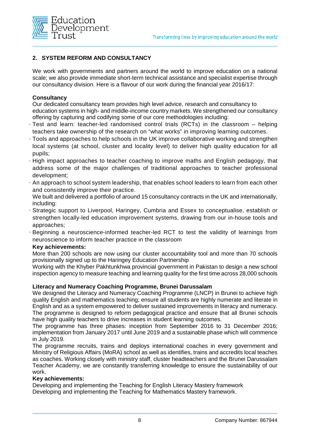

#### **2. SYSTEM REFORM AND CONSULTANCY**

We work with governments and partners around the world to improve education on a national scale; we also provide immediate short-term technical assistance and specialist expertise through our consultancy division. Here is a flavour of our work during the financial year 2016/17:

#### **Consultancy**

Our dedicated consultancy team provides high level advice, research and consultancy to education systems in high- and middle-income country markets. We strengthened our consultancy offering by capturing and codifying some of our core methodologies including:

- **•** Test and learn: teacher-led randomised control trials (RCTs) in the classroom helping teachers take ownership of the research on "what works" in improving learning outcomes.
- **•** Tools and approaches to help schools in the UK improve collaborative working and strengthen local systems (at school, cluster and locality level) to deliver high quality education for all pupils;
- **•** High impact approaches to teacher coaching to improve maths and English pedagogy, that address some of the major challenges of traditional approaches to teacher professional development;
- **•** An approach to school system leadership, that enables school leaders to learn from each other and consistently improve their practice.

We built and delivered a portfolio of around 15 consultancy contracts in the UK and internationally, including:

- **•** Strategic support to Liverpool, Haringey, Cumbria and Essex to conceptualise, establish or strengthen locally-led education improvement systems, drawing from our in-house tools and approaches;
- **•** Beginning a neuroscience-informed teacher-led RCT to test the validity of learnings from neuroscience to inform teacher practice in the classroom

#### **Key achievements:**

More than 200 schools are now using our cluster accountability tool and more than 70 schools provisionally signed up to the Haringey Education Partnership

Working with the Khyber Pakhtunkhwa provincial government in Pakistan to design a new school inspection agency to measure teaching and learning quality for the first time across 28,000 schools

#### **Literacy and Numeracy Coaching Programme, Brunei Darussalam**

We designed the Literacy and Numeracy Coaching Programme (LNCP) in Brunei to achieve high quality English and mathematics teaching; ensure all students are highly numerate and literate in English and as a system empowered to deliver sustained improvements in literacy and numeracy. The programme is designed to reform pedagogical practice and ensure that all Brunei schools have high quality teachers to drive increases in student learning outcomes.

The programme has three phases: inception from September 2016 to 31 December 2016; implementation from January 2017 until June 2019 and a sustainable phase which will commence in July 2019.

The programme recruits, trains and deploys international coaches in every government and Ministry of Religious Affairs (MoRA) school as well as identifies, trains and accredits local teaches as coaches. Working closely with ministry staff, cluster headteachers and the Brunei Darussalam Teacher Academy, we are constantly transferring knowledge to ensure the sustainability of our work.

#### **Key achievements:**

Developing and implementing the Teaching for English Literacy Mastery framework Developing and implementing the Teaching for Mathematics Mastery framework.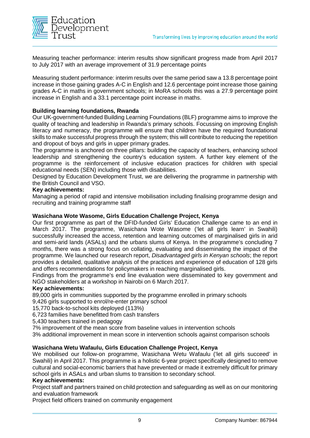

Measuring teacher performance: interim results show significant progress made from April 2017 to July 2017 with an average improvement of 31.9 percentage points

Measuring student performance: interim results over the same period saw a 13.8 percentage point increase in those gaining grades A-C in English and 12.6 percentage point increase those gaining grades A-C in maths in government schools; in MoRA schools this was a 27.9 percentage point increase in English and a 33.1 percentage point increase in maths.

#### **Building learning foundations, Rwanda**

Our UK-government-funded Building Learning Foundations (BLF) programme aims to improve the quality of teaching and leadership in Rwanda's primary schools. Focussing on improving English literacy and numeracy, the programme will ensure that children have the required foundational skills to make successful progress through the system; this will contribute to reducing the repetition and dropout of boys and girls in upper primary grades.

The programme is anchored on three pillars: building the capacity of teachers, enhancing school leadership and strengthening the country's education system. A further key element of the programme is the reinforcement of inclusive education practices for children with special educational needs (SEN) including those with disabilities.

Designed by Education Development Trust, we are delivering the programme in partnership with the British Council and VSO.

#### **Key achievements:**

Managing a period of rapid and intensive mobilisation including finalising programme design and recruiting and training programme staff

#### **Wasichana Wote Wasome, Girls Education Challenge Project, Kenya**

Our first programme as part of the DFID-funded Girls' Education Challenge came to an end in March 2017. The programme, Wasichana Wote Wasome ('let all girls learn' in Swahili) successfully increased the access, retention and learning outcomes of marginalised girls in arid and semi-arid lands (ASALs) and the urbans slums of Kenya. In the programme's concluding 7 months, there was a strong focus on collating, evaluating and disseminating the impact of the programme. We launched our research report, *Disadvantaged girls in Kenyan schools*; the report provides a detailed, qualitative analysis of the practices and experience of education of 128 girls and offers recommendations for policymakers in reaching marginalised girls.

Findings from the programme's end line evaluation were disseminated to key government and NGO stakeholders at a workshop in Nairobi on 6 March 2017.

#### **Key achievements:**

89,000 girls in communities supported by the programme enrolled in primary schools

9.426 girls supported to enrol/re-enter primary school

15,770 back-to-school kits deployed (113%)

6,723 families have benefitted from cash transfers

5,430 teachers trained in pedagogy

7% improvement of the mean score from baseline values in intervention schools

3% additional improvement in mean score in intervention schools against comparison schools

#### **Wasichana Wetu Wafaulu, Girls Education Challenge Project, Kenya**

We mobilised our follow-on programme, Wasichana Wetu Wafaulu ('let all girls succeed' in Swahili) in April 2017. This programme is a holistic 6-year project specifically designed to remove cultural and social-economic barriers that have prevented or made it extremely difficult for primary school girls in ASALs and urban slums to transition to secondary school.

#### **Key achievements:**

Project staff and partners trained on child protection and safeguarding as well as on our monitoring and evaluation framework

Project field officers trained on community engagement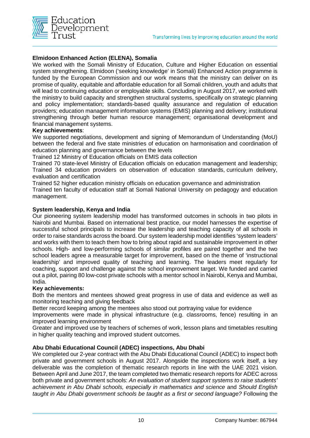

#### **Elmidoon Enhanced Action (ELENA), Somalia**

We worked with the Somali Ministry of Education, Culture and Higher Education on essential system strengthening. Elmidoon ('seeking knowledge' in Somali) Enhanced Action programme is funded by the European Commission and our work means that the ministry can deliver on its promise of quality, equitable and affordable education for all Somali children, youth and adults that will lead to continuing education or employable skills. Concluding in August 2017, we worked with the ministry to build capacity and strengthen structural systems, specifically on strategic planning and policy implementation; standards-based quality assurance and regulation of education providers; education management information systems (EMIS) planning and delivery; institutional strengthening through better human resource management; organisational development and financial management systems.

#### **Key achievements**:

We supported negotiations, development and signing of Memorandum of Understanding (MoU) between the federal and five state ministries of education on harmonisation and coordination of education planning and governance between the levels

Trained 12 Ministry of Education officials on EMIS data collection

Trained 70 state-level Ministry of Education officials on education management and leadership; Trained 34 education providers on observation of education standards, curriculum delivery, evaluation and certification

Trained 52 higher education ministry officials on education governance and administration Trained ten faculty of education staff at Somali National University on pedagogy and education management.

#### **System leadership, Kenya and India**

Our pioneering system leadership model has transformed outcomes in schools in two pilots in Nairobi and Mumbai. Based on international best practice, our model harnesses the expertise of successful school principals to increase the leadership and teaching capacity of all schools in order to raise standards across the board. Our system leadership model identifies 'system leaders' and works with them to teach them how to bring about rapid and sustainable improvement in other schools. High- and low-performing schools of similar profiles are paired together and the two school leaders agree a measurable target for improvement, based on the theme of 'instructional leadership' and improved quality of teaching and learning. The leaders meet regularly for coaching, support and challenge against the school improvement target. We funded and carried out a pilot, pairing 80 low-cost private schools with a mentor school in Nairobi, Kenya and Mumbai, India.

#### **Key achievements:**

Both the mentors and mentees showed great progress in use of data and evidence as well as monitoring teaching and giving feedback

Better record keeping among the mentees also stood out portraying value for evidence

Improvements were made in physical infrastructure (e.g. classrooms, fence) resulting in an improved learning environment

Greater and improved use by teachers of schemes of work, lesson plans and timetables resulting in higher quality teaching and improved student outcomes.

#### **Abu Dhabi Educational Council (ADEC) inspections, Abu Dhabi**

We completed our 2-year contract with the Abu Dhabi Educational Council (ADEC) to inspect both private and government schools in August 2017. Alongside the inspections work itself, a key deliverable was the completion of thematic research reports in line with the UAE 2021 vision. Between April and June 2017, the team completed two thematic research reports for ADEC across both private and government schools: *An evaluation of student support systems to raise students' achievement in Abu Dhabi schools, especially in mathematics and science* and *Should English taught in Abu Dhabi government schools be taught as a first or second language?* Following the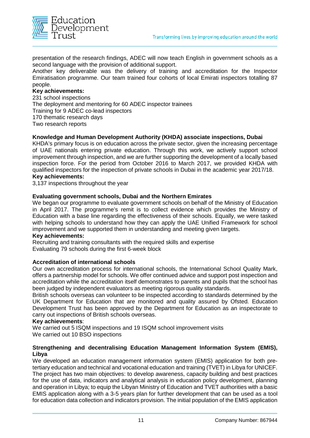

presentation of the research findings, ADEC will now teach English in government schools as a second language with the provision of additional support.

Another key deliverable was the delivery of training and accreditation for the Inspector Emiratisation programme. Our team trained four cohorts of local Emirati inspectors totalling 87 people.

#### **Key achievements:**

231 school inspections The deployment and mentoring for 60 ADEC inspector trainees Training for 9 ADEC co-lead inspectors 170 thematic research days Two research reports

#### **Knowledge and Human Development Authority (KHDA) associate inspections, Dubai**

KHDA's primary focus is on education across the private sector, given the increasing percentage of UAE nationals entering private education. Through this work, we actively support school improvement through inspection, and we are further supporting the development of a locally based inspection force. For the period from October 2016 to March 2017, we provided KHDA with qualified inspectors for the inspection of private schools in Dubai in the academic year 2017/18.

#### **Key achievements:**

3,137 inspections throughout the year

#### **Evaluating government schools, Dubai and the Northern Emirates**

We began our programme to evaluate government schools on behalf of the Ministry of Education in April 2017. The programme's remit is to collect evidence which provides the Ministry of Education with a base line regarding the effectiveness of their schools. Equally, we were tasked with helping schools to understand how they can apply the UAE Unified Framework for school improvement and we supported them in understanding and meeting given targets.

#### **Key achievements:**

Recruiting and training consultants with the required skills and expertise Evaluating 79 schools during the first 6-week block

#### **Accreditation of international schools**

Our own accreditation process for international schools, the International School Quality Mark, offers a partnership model for schools. We offer continued advice and support post inspection and accreditation while the accreditation itself demonstrates to parents and pupils that the school has been judged by independent evaluators as meeting rigorous quality standards.

British schools overseas can volunteer to be inspected according to standards determined by the UK Department for Education that are monitored and quality assured by Ofsted. Education Development Trust has been approved by the Department for Education as an inspectorate to carry out inspections of British schools overseas.

#### **Key achievements**:

We carried out 5 ISQM inspections and 19 ISQM school improvement visits We carried out 10 BSO inspections

#### **Strengthening and decentralising Education Management Information System (EMIS), Libya**

We developed an education management information system (EMIS) application for both pretertiary education and technical and vocational education and training (TVET) in Libya for UNICEF. The project has two main objectives: to develop awareness, capacity building and best practices for the use of data, indicators and analytical analysis in education policy development, planning and operation in Libya; to equip the Libyan Ministry of Education and TVET authorities with a basic EMIS application along with a 3-5 years plan for further development that can be used as a tool for education data collection and indicators provision. The initial population of the EMIS application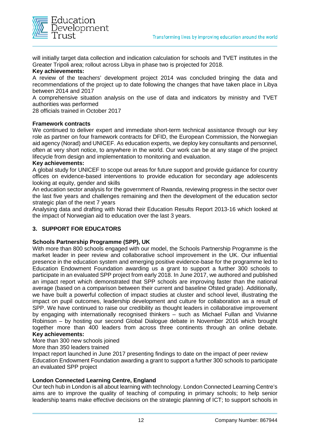

will initially target data collection and indication calculation for schools and TVET institutes in the Greater Tripoli area; rollout across Libya in phase two is projected for 2018.

#### **Key achievements:**

A review of the teachers' development project 2014 was concluded bringing the data and recommendations of the project up to date following the changes that have taken place in Libya between 2014 and 2017

A comprehensive situation analysis on the use of data and indicators by ministry and TVET authorities was performed

28 officials trained in October 2017

#### **Framework contracts**

We continued to deliver expert and immediate short-term technical assistance through our key role as partner on four framework contracts for DFID, the European Commission, the Norwegian aid agency (Norad) and UNICEF. As education experts, we deploy key consultants and personnel, often at very short notice, to anywhere in the world. Our work can be at any stage of the project lifecycle from design and implementation to monitoring and evaluation.

#### **Key achievements:**

A global study for UNICEF to scope out areas for future support and provide guidance for country offices on evidence-based interventions to provide education for secondary age adolescents looking at equity, gender and skills

An education sector analysis for the government of Rwanda, reviewing progress in the sector over the last five years and challenges remaining and then the development of the education sector strategic plan of the next 7 years

Analysing data and drafting with Norad their Education Results Report 2013-16 which looked at the impact of Norwegian aid to education over the last 3 years.

#### **3. SUPPORT FOR EDUCATORS**

#### **Schools Partnership Programme (SPP), UK**

With more than 800 schools engaged with our model, the Schools Partnership Programme is the market leader in peer review and collaborative school improvement in the UK. Our influential presence in the education system and emerging positive evidence-base for the programme led to Education Endowment Foundation awarding us a grant to support a further 300 schools to participate in an evaluated SPP project from early 2018. In June 2017, we authored and published an impact report which demonstrated that SPP schools are improving faster than the national average (based on a comparison between their current and baseline Ofsted grade). Additionally, we have built a powerful collection of impact studies at cluster and school level, illustrating the impact on pupil outcomes, leadership development and culture for collaboration as a result of SPP. We have continued to raise our credibility as thought leaders in collaborative improvement by engaging with internationally recognised thinkers – such as Michael Fullan and Vivianne Robinson – by hosting our second Global Dialogue debate in November 2016 which brought together more than 400 leaders from across three continents through an online debate. **Key achievements:**

More than 300 new schools joined

#### More than 350 leaders trained

Impact report launched in June 2017 presenting findings to date on the impact of peer review Education Endowment Foundation awarding a grant to support a further 300 schools to participate an evaluated SPP project

#### **London Connected Learning Centre, England**

Our tech hub in London is all about learning with technology. London Connected Learning Centre's aims are to improve the quality of teaching of computing in primary schools; to help senior leadership teams make effective decisions on the strategic planning of ICT; to support schools in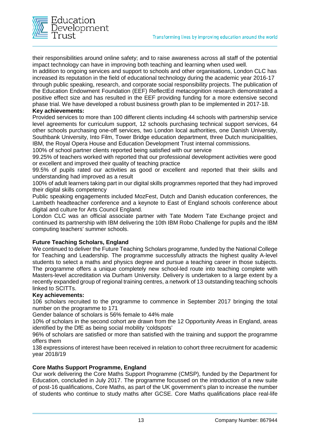

their responsibilities around online safety; and to raise awareness across all staff of the potential impact technology can have in improving both teaching and learning when used well.

In addition to ongoing services and support to schools and other organisations, London CLC has increased its reputation in the field of educational technology during the academic year 2016-17 through public speaking, research, and corporate social responsibility projects. The publication of the Education Endowment Foundation (EEF) ReflectEd metacognition research demonstrated a positive effect size and has resulted in the EEF providing funding for a more extensive second phase trial. We have developed a robust business growth plan to be implemented in 2017-18.

#### **Key achievements:**

Provided services to more than 100 different clients including 44 schools with partnership service level agreements for curriculum support, 12 schools purchasing technical support services, 64 other schools purchasing one-off services, two London local authorities, one Danish University, Southbank University, Into Film, Tower Bridge education department, three Dutch municipalities, IBM, the Royal Opera House and Education Development Trust internal commissions.

100% of school partner clients reported being satisfied with our service

99.25% of teachers worked with reported that our professional development activities were good or excellent and improved their quality of teaching practice

99.5% of pupils rated our activities as good or excellent and reported that their skills and understanding had improved as a result

100% of adult learners taking part in our digital skills programmes reported that they had improved their digital skills competency

Public speaking engagements included MozFest, Dutch and Danish education conferences, the Lambeth headteacher conference and a keynote to East of England schools conference about digital and culture for Arts Council England.

London CLC was an official associate partner with Tate Modern Tate Exchange project and continued its partnership with IBM delivering the 10th IBM Robo Challenge for pupils and the IBM computing teachers' summer schools.

#### **Future Teaching Scholars, England**

We continued to deliver the Future Teaching Scholars programme, funded by the National College for Teaching and Leadership. The programme successfully attracts the highest quality A-level students to select a maths and physics degree and pursue a teaching career in those subjects. The programme offers a unique completely new school-led route into teaching complete with Masters-level accreditation via Durham University. Delivery is undertaken to a large extent by a recently expanded group of regional training centres, a network of 13 outstanding teaching schools linked to SCITTs.

#### **Key achievements:**

106 scholars recruited to the programme to commence in September 2017 bringing the total number on the programme to 171

Gender balance of scholars is 56% female to 44% male

10% of scholars in the second cohort are drawn from the 12 Opportunity Areas in England, areas identified by the DfE as being social mobility 'coldspots'

96% of scholars are satisfied or more than satisfied with the training and support the programme offers them

138 expressions of interest have been received in relation to cohort three recruitment for academic year 2018/19

#### **Core Maths Support Programme, England**

Our work delivering the Core Maths Support Programme (CMSP), funded by the Department for Education, concluded in July 2017. The programme focussed on the introduction of a new suite of post-16 qualifications, Core Maths, as part of the UK government's plan to increase the number of students who continue to study maths after GCSE. Core Maths qualifications place real-life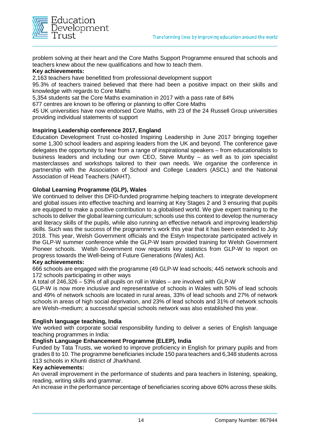

problem solving at their heart and the Core Maths Support Programme ensured that schools and teachers knew about the new qualifications and how to teach them.

#### **Key achievements:**

2,163 teachers have benefitted from professional development support

95.3% of teachers trained believed that there had been a positive impact on their skills and knowledge with regards to Core Maths

5,354 students sat the Core Maths examination in 2017 with a pass rate of 84%

677 centres are known to be offering or planning to offer Core Maths

45 UK universities have now endorsed Core Maths, with 23 of the 24 Russell Group universities providing individual statements of support

#### **Inspiring Leadership conference 2017, England**

Education Development Trust co-hosted Inspiring Leadership in June 2017 bringing together some 1,300 school leaders and aspiring leaders from the UK and beyond. The conference gave delegates the opportunity to hear from a range of inspirational speakers – from educationalists to business leaders and including our own CEO, Steve Munby – as well as to join specialist masterclasses and workshops tailored to their own needs. We organise the conference in partnership with the Association of School and College Leaders (ASCL) and the National Association of Head Teachers (NAHT).

#### **Global Learning Programme (GLP), Wales**

We continued to deliver this DFID-funded programme helping teachers to integrate development and global issues into effective teaching and learning at Key Stages 2 and 3 ensuring that pupils are equipped to make a positive contribution to a globalised world. We give expert training to the schools to deliver the global learning curriculum; schools use this context to develop the numeracy and literacy skills of the pupils, while also running an effective network and improving leadership skills. Such was the success of the programme's work this year that it has been extended to July 2018. This year, Welsh Government officials and the Estyn Inspectorate participated actively in the GLP-W summer conference while the GLP-W team provided training for Welsh Government Pioneer schools. Welsh Government now requests key statistics from GLP-W to report on progress towards the Well-being of Future Generations (Wales) Act.

#### **Key achievements:**

666 schools are engaged with the programme (49 GLP-W lead schools; 445 network schools and 172 schools participating in other ways

A total of 246,326 – 53% of all pupils on roll in Wales – are involved with GLP-W

GLP-W is now more inclusive and representative of schools in Wales with 50% of lead schools and 49% of network schools are located in rural areas, 33% of lead schools and 27% of network schools in areas of high social deprivation, and 23% of lead schools and 31% of network schools are Welsh–medium; a successful special schools network was also established this year.

#### **English language teaching, India**

We worked with corporate social responsibility funding to deliver a series of English language teaching programmes in India:

#### **English Language Enhancement Programme (ELEP), India**

Funded by Tata Trusts, we worked to improve proficiency in English for primary pupils and from grades 8 to 10. The programme beneficiaries include 150 para teachers and 6,348 students across 113 schools in Khunti district of Jharkhand.

#### **Key achievements:**

An overall improvement in the performance of students and para teachers in listening, speaking, reading, writing skills and grammar.

An increase in the performance percentage of beneficiaries scoring above 60% across these skills.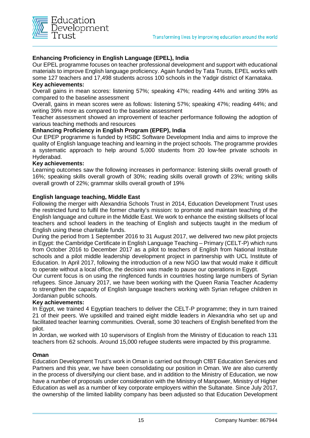

#### **Enhancing Proficiency in English Language (EPEL), India**

Our EPEL programme focuses on teacher professional development and support with educational materials to improve English language proficiency. Again funded by Tata Trusts, EPEL works with some 127 teachers and 17,498 students across 100 schools in the Yadgir district of Karnataka.

#### **Key achievements:**

Overall gains in mean scores: listening 57%; speaking 47%; reading 44% and writing 39% as compared to the baseline assessment

Overall, gains in mean scores were as follows: listening 57%; speaking 47%; reading 44%; and writing 39% more as compared to the baseline assessment

Teacher assessment showed an improvement of teacher performance following the adoption of various teaching methods and resources

#### **Enhancing Proficiency in English Program (EPEP), India**

Our EPEP programme is funded by HSBC Software Development India and aims to improve the quality of English language teaching and learning in the project schools. The programme provides a systematic approach to help around 5,000 students from 20 low-fee private schools in Hyderabad.

#### **Key achievements:**

Learning outcomes saw the following increases in performance: listening skills overall growth of 16%; speaking skills overall growth of 30%; reading skills overall growth of 23%; writing skills overall growth of 22%; grammar skills overall growth of 19%

#### **English language teaching, Middle East**

Following the merger with Alexandria Schools Trust in 2014, Education Development Trust uses the restricted fund to fulfil the former charity's mission: to promote and maintain teaching of the English language and culture in the Middle East. We work to enhance the existing skillsets of local teachers and school leaders in the teaching of English and subjects taught in the medium of English using these charitable funds.

During the period from 1 September 2016 to 31 August 2017, we delivered two new pilot projects in Egypt: the Cambridge Certificate in English Language Teaching – Primary (CELT-P) which runs from October 2016 to December 2017 as a pilot to teachers of English from National Institute schools and a pilot middle leadership development project in partnership with UCL Institute of Education. In April 2017, following the introduction of a new NGO law that would make it difficult to operate without a local office, the decision was made to pause our operations in Egypt.

Our current focus is on using the ringfenced funds in countries hosting large numbers of Syrian refugees. Since January 2017, we have been working with the Queen Rania Teacher Academy to strengthen the capacity of English language teachers working with Syrian refugee children in Jordanian public schools.

#### **Key achievements:**

In Egypt, we trained 4 Egyptian teachers to deliver the CELT-P programme; they in turn trained 21 of their peers. We upskilled and trained eight middle leaders in Alexandria who set up and facilitated teacher learning communities. Overall, some 30 teachers of English benefited from the pilot.

In Jordan, we worked with 10 supervisors of English from the Ministry of Education to reach 131 teachers from 62 schools. Around 15,000 refugee students were impacted by this programme.

#### **Oman**

Education Development Trust's work in Oman is carried out through CfBT Education Services and Partners and this year, we have been consolidating our position in Oman. We are also currently in the process of diversifying our client base, and in addition to the Ministry of Education, we now have a number of proposals under consideration with the Ministry of Manpower, Ministry of Higher Education as well as a number of key corporate employers within the Sultanate. Since July 2017, the ownership of the limited liability company has been adjusted so that Education Development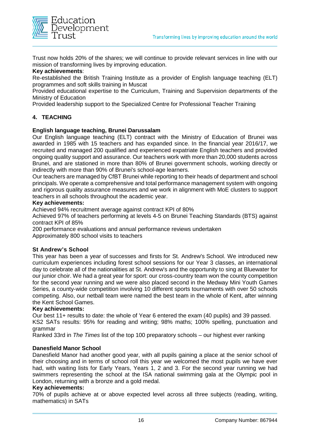

Trust now holds 20% of the shares; we will continue to provide relevant services in line with our mission of transforming lives by improving education.

#### **Key achievements**:

Re-established the British Training Institute as a provider of English language teaching (ELT) programmes and soft skills training in Muscat

Provided educational expertise to the Curriculum, Training and Supervision departments of the Ministry of Education

Provided leadership support to the Specialized Centre for Professional Teacher Training

#### **4. TEACHING**

#### **English language teaching, Brunei Darussalam**

Our English language teaching (ELT) contract with the Ministry of Education of Brunei was awarded in 1985 with 15 teachers and has expanded since. In the financial year 2016/17, we recruited and managed 200 qualified and experienced expatriate English teachers and provided ongoing quality support and assurance. Our teachers work with more than 20,000 students across Brunei, and are stationed in more than 80% of Brunei government schools, working directly or indirectly with more than 90% of Brunei's school-age learners.

Our teachers are managed by CfBT Brunei while reporting to their heads of department and school principals. We operate a comprehensive and total performance management system with ongoing and rigorous quality assurance measures and we work in alignment with MoE clusters to support teachers in all schools throughout the academic year.

#### **Key achievements:**

Achieved 94% recruitment average against contract KPI of 80%

Achieved 97% of teachers performing at levels 4-5 on Brunei Teaching Standards (BTS) against contract KPI of 85%

200 performance evaluations and annual performance reviews undertaken Approximately 800 school visits to teachers

#### **St Andrew's School**

This year has been a year of successes and firsts for St. Andrew's School. We introduced new curriculum experiences including forest school sessions for our Year 3 classes, an international day to celebrate all of the nationalities at St. Andrew's and the opportunity to sing at Bluewater for our junior choir. We had a great year for sport: our cross-country team won the county competition for the second year running and we were also placed second in the Medway Mini Youth Games Series, a county-wide competition involving 10 different sports tournaments with over 50 schools competing. Also, our netball team were named the best team in the whole of Kent, after winning the Kent School Games.

#### **Key achievements:**

Our best 11+ results to date: the whole of Year 6 entered the exam (40 pupils) and 39 passed.

KS2 SATs results: 95% for reading and writing; 98% maths; 100% spelling, punctuation and grammar

Ranked 33rd in *The Times* list of the top 100 preparatory schools – our highest ever ranking

#### **Danesfield Manor School**

Danesfield Manor had another good year, with all pupils gaining a place at the senior school of their choosing and in terms of school roll this year we welcomed the most pupils we have ever had, with waiting lists for Early Years, Years 1, 2 and 3. For the second year running we had swimmers representing the school at the ISA national swimming gala at the Olympic pool in London, returning with a bronze and a gold medal.

#### **Key achievements:**

70% of pupils achieve at or above expected level across all three subjects (reading, writing, mathematics) in SATs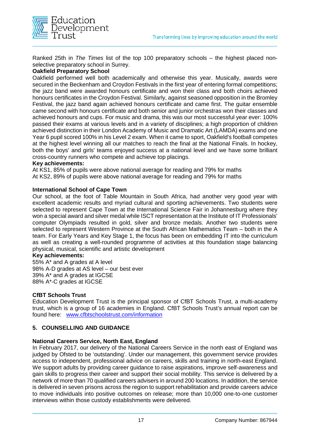

Ranked 25th in *The Times* list of the top 100 preparatory schools – the highest placed nonselective preparatory school in Surrey.

#### **Oakfield Preparatory School**

Oakfield performed well both academically and otherwise this year. Musically, awards were secured in the Beckenham and Croydon Festivals in the first year of entering formal competitions; the jazz band were awarded honours certificate and won their class and both choirs achieved honours certificates in the Croydon Festival. Similarly, against seasoned opposition in the Bromley Festival, the jazz band again achieved honours certificate and came first. The guitar ensemble came second with honours certificate and both senior and junior orchestras won their classes and achieved honours and cups. For music and drama, this was our most successful year ever: 100% passed their exams at various levels and in a variety of disciplines; a high proportion of children achieved distinction in their London Academy of Music and Dramatic Art (LAMDA) exams and one Year 6 pupil scored 100% in his Level 2 exam. When it came to sport, Oakfield's football competes at the highest level winning all our matches to reach the final at the National Finals. In hockey, both the boys' and girls' teams enjoyed success at a national level and we have some brilliant cross-country runners who compete and achieve top placings.

#### **Key achievements:**

At KS1, 85% of pupils were above national average for reading and 79% for maths At KS2, 89% of pupils were above national average for reading and 79% for maths

#### **International School of Cape Town**

Our school, at the foot of Table Mountain in South Africa, had another very good year with excellent academic results and myriad cultural and sporting achievements. Two students were selected to represent Cape Town at the International Science Fair in Johannesburg where they won a special award and silver medal while ISCT representation at the Institute of IT Professionals' computer Olympiads resulted in gold, silver and bronze medals. Another two students were selected to represent Western Province at the South African Mathematics Team – both in the A team. For Early Years and Key Stage 1, the focus has been on embedding IT into the curriculum as well as creating a well-rounded programme of activities at this foundation stage balancing physical, musical, scientific and artistic development

#### **Key achievements:**

55% A\* and A grades at A level 98% A-D grades at AS level – our best ever 39% A\* and A grades at IGCSE 88% A\*-C grades at IGCSE

#### **CfBT Schools Trust**

Education Development Trust is the principal sponsor of CfBT Schools Trust, a multi-academy trust, which is a group of 16 academies in England. CfBT Schools Trust's annual report can be found here: [www.cfbtschoolstrust.com/information](http://www.cfbtschoolstrust.com/information)

#### **5. COUNSELLING AND GUIDANCE**

#### **National Careers Service, North East, England**

In February 2017, our delivery of the National Careers Service in the north east of England was judged by Ofsted to be 'outstanding'. Under our management, this government service provides access to independent, professional advice on careers, skills and training in north-east England. We support adults by providing career guidance to raise aspirations, improve self-awareness and gain skills to progress their career and support their social mobility. This service is delivered by a network of more than 70 qualified careers advisers in around 200 locations. In addition, the service is delivered in seven prisons across the region to support rehabilitation and provide careers advice to move individuals into positive outcomes on release; more than 10,000 one-to-one customer interviews within those custody establishments were delivered.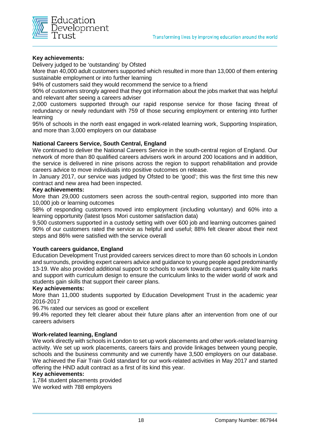

#### **Key achievements:**

Delivery judged to be 'outstanding' by Ofsted

More than 40,000 adult customers supported which resulted in more than 13,000 of them entering sustainable employment or into further learning

94% of customers said they would recommend the service to a friend

90% of customers strongly agreed that they got information about the jobs market that was helpful and relevant after seeing a careers adviser

2,000 customers supported through our rapid response service for those facing threat of redundancy or newly redundant with 759 of those securing employment or entering into further learning

95% of schools in the north east engaged in work-related learning work, Supporting Inspiration, and more than 3,000 employers on our database

#### **National Careers Service, South Central, England**

We continued to deliver the National Careers Service in the south-central region of England. Our network of more than 80 qualified careers advisers work in around 200 locations and in addition, the service is delivered in nine prisons across the region to support rehabilitation and provide careers advice to move individuals into positive outcomes on release.

In January 2017, our service was judged by Ofsted to be 'good'; this was the first time this new contract and new area had been inspected.

#### **Key achievements:**

More than 29,000 customers seen across the south-central region, supported into more than 10,000 job or learning outcomes

58% of responding customers moved into employment (including voluntary) and 60% into a learning opportunity (latest Ipsos Mori customer satisfaction data)

9,500 customers supported in a custody setting with over 600 job and learning outcomes gained 90% of our customers rated the service as helpful and useful; 88% felt clearer about their next steps and 86% were satisfied with the service overall

#### **Youth careers guidance, England**

Education Development Trust provided careers services direct to more than 60 schools in London and surrounds, providing expert careers advice and guidance to young people aged predominantly 13-19. We also provided additional support to schools to work towards careers quality kite marks and support with curriculum design to ensure the curriculum links to the wider world of work and students gain skills that support their career plans.

#### **Key achievements:**

More than 11,000 students supported by Education Development Trust in the academic year 2016-2017

96.7% rated our services as good or excellent

99.4% reported they felt clearer about their future plans after an intervention from one of our careers advisers

#### **Work-related learning, England**

We work directly with schools in London to set up work placements and other work-related learning activity. We set up work placements, careers fairs and provide linkages between young people, schools and the business community and we currently have 3,500 employers on our database. We achieved the Fair Train Gold standard for our work-related activities in May 2017 and started offering the HND adult contract as a first of its kind this year.

#### **Key achievements:**

1,784 student placements provided We worked with 788 employers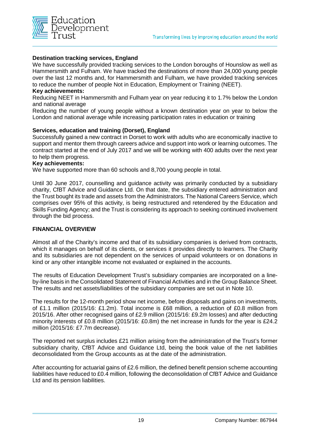

#### **Destination tracking services, England**

We have successfully provided tracking services to the London boroughs of Hounslow as well as Hammersmith and Fulham. We have tracked the destinations of more than 24,000 young people over the last 12 months and, for Hammersmith and Fulham, we have provided tracking services to reduce the number of people Not in Education, Employment or Training (NEET).

#### **Key achievements:**

Reducing NEET in Hammersmith and Fulham year on year reducing it to 1.7% below the London and national average

Reducing the number of young people without a known destination year on year to below the London and national average while increasing participation rates in education or training

#### **Services, education and training (Dorset), England**

Successfully gained a new contract in Dorset to work with adults who are economically inactive to support and mentor them through careers advice and support into work or learning outcomes. The contract started at the end of July 2017 and we will be working with 400 adults over the next year to help them progress.

#### **Key achievements:**

We have supported more than 60 schools and 8,700 young people in total.

Until 30 June 2017, counselling and guidance activity was primarily conducted by a subsidiary charity, CfBT Advice and Guidance Ltd. On that date, the subsidiary entered administration and the Trust bought its trade and assets from the Administrators. The National Careers Service, which comprises over 95% of this activity, is being restructured and retendered by the Education and Skills Funding Agency; and the Trust is considering its approach to seeking continued involvement through the bid process.

#### **FINANCIAL OVERVIEW**

Almost all of the Charity's income and that of its subsidiary companies is derived from contracts, which it manages on behalf of its clients, or services it provides directly to learners. The Charity and its subsidiaries are not dependent on the services of unpaid volunteers or on donations in kind or any other intangible income not evaluated or explained in the accounts.

The results of Education Development Trust's subsidiary companies are incorporated on a lineby-line basis in the Consolidated Statement of Financial Activities and in the Group Balance Sheet. The results and net assets/liabilities of the subsidiary companies are set out in Note 10.

The results for the 12-month period show net income, before disposals and gains on investments, of £1.1 million (2015/16: £1.2m). Total income is £68 million, a reduction of £0.8 million from 2015/16. After other recognised gains of £2.9 million (2015/16: £9.2m losses) and after deducting minority interests of £0.8 million (2015/16: £0.8m) the net increase in funds for the year is £24.2 million (2015/16: £7.7m decrease).

The reported net surplus includes £21 million arising from the administration of the Trust's former subsidiary charity, CfBT Advice and Guidance Ltd, being the book value of the net liabilities deconsolidated from the Group accounts as at the date of the administration.

After accounting for actuarial gains of £2.6 million, the defined benefit pension scheme accounting liabilities have reduced to £0.4 million, following the deconsolidation of CfBT Advice and Guidance Ltd and its pension liabilities.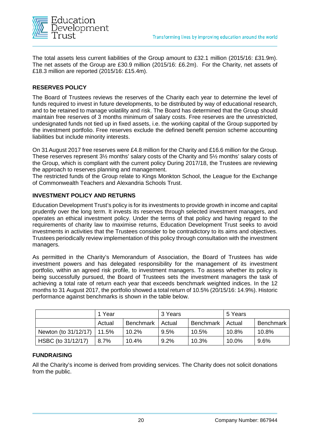

The total assets less current liabilities of the Group amount to £32.1 million (2015/16: £31.9m). The net assets of the Group are £30.9 million (2015/16: £6.2m). For the Charity, net assets of £18.3 million are reported (2015/16: £15.4m).

#### **RESERVES POLICY**

The Board of Trustees reviews the reserves of the Charity each year to determine the level of funds required to invest in future developments, to be distributed by way of educational research, and to be retained to manage volatility and risk. The Board has determined that the Group should maintain free reserves of 3 months minimum of salary costs. Free reserves are the unrestricted, undesignated funds not tied up in fixed assets, i.e. the working capital of the Group supported by the investment portfolio. Free reserves exclude the defined benefit pension scheme accounting liabilities but include minority interests.

On 31August 2017 free reserves were £4.8 million for the Charity and £16.6 million for the Group. These reserves represent 3½ months' salary costs of the Charity and 5½ months' salary costs of the Group, which is compliant with the current policy During 2017/18, the Trustees are reviewing the approach to reserves planning and management.

The restricted funds of the Group relate to Kings Monkton School, the League for the Exchange of Commonwealth Teachers and Alexandria Schools Trust.

#### **INVESTMENT POLICY AND RETURNS**

Education Development Trust's policy is for its investments to provide growth in income and capital prudently over the long term. It invests its reserves through selected investment managers, and operates an ethical investment policy. Under the terms of that policy and having regard to the requirements of charity law to maximise returns, Education Development Trust seeks to avoid investments in activities that the Trustees consider to be contradictory to its aims and objectives. Trustees periodically review implementation of this policy through consultation with the investment managers.

As permitted in the Charity's Memorandum of Association, the Board of Trustees has wide investment powers and has delegated responsibility for the management of its investment portfolio, within an agreed risk profile, to investment managers. To assess whether its policy is being successfully pursued, the Board of Trustees sets the investment managers the task of achieving a total rate of return each year that exceeds benchmark weighted indices. In the 12 months to 31 August 2017, the portfolio showed a total return of 10.5% (20/15/16: 14.9%). Historic performance against benchmarks is shown in the table below.

|                              | 1 Year |                  | 3 Years |           | 5 Years |                  |
|------------------------------|--------|------------------|---------|-----------|---------|------------------|
|                              | Actual | <b>Benchmark</b> | Actual  | Benchmark | Actual  | <b>Benchmark</b> |
| Newton (to 31/12/17)   11.5% |        | 10.2%            | 9.5%    | 10.5%     | 10.8%   | 10.8%            |
| HSBC (to 31/12/17)           | 8.7%   | 10.4%            | 9.2%    | 10.3%     | 10.0%   | 9.6%             |

#### **FUNDRAISING**

All the Charity's income is derived from providing services. The Charity does not solicit donations from the public.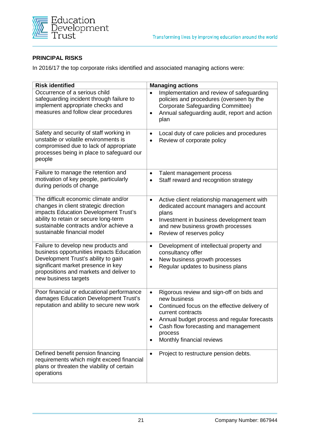

#### **PRINCIPAL RISKS**

In 2016/17 the top corporate risks identified and associated managing actions were:

| <b>Risk identified</b>                                                                                                                                                                                                                    | <b>Managing actions</b>                                                                                                                                                                                                                                                                                               |
|-------------------------------------------------------------------------------------------------------------------------------------------------------------------------------------------------------------------------------------------|-----------------------------------------------------------------------------------------------------------------------------------------------------------------------------------------------------------------------------------------------------------------------------------------------------------------------|
| Occurrence of a serious child<br>safeguarding incident through failure to<br>implement appropriate checks and<br>measures and follow clear procedures                                                                                     | Implementation and review of safeguarding<br>$\bullet$<br>policies and procedures (overseen by the<br><b>Corporate Safeguarding Committee)</b><br>Annual safeguarding audit, report and action<br>$\bullet$<br>plan                                                                                                   |
| Safety and security of staff working in<br>unstable or volatile environments is<br>compromised due to lack of appropriate<br>processes being in place to safeguard our<br>people                                                          | Local duty of care policies and procedures<br>$\bullet$<br>Review of corporate policy<br>$\bullet$                                                                                                                                                                                                                    |
| Failure to manage the retention and<br>motivation of key people, particularly<br>during periods of change                                                                                                                                 | Talent management process<br>$\bullet$<br>Staff reward and recognition strategy<br>$\bullet$                                                                                                                                                                                                                          |
| The difficult economic climate and/or<br>changes in client strategic direction<br>impacts Education Development Trust's<br>ability to retain or secure long-term<br>sustainable contracts and/or achieve a<br>sustainable financial model | Active client relationship management with<br>$\bullet$<br>dedicated account managers and account<br>plans<br>Investment in business development team<br>$\bullet$<br>and new business growth processes<br>Review of reserves policy<br>$\bullet$                                                                     |
| Failure to develop new products and<br>business opportunities impacts Education<br>Development Trust's ability to gain<br>significant market presence in key<br>propositions and markets and deliver to<br>new business targets           | Development of intellectual property and<br>$\bullet$<br>consultancy offer<br>New business growth processes<br>$\bullet$<br>Regular updates to business plans<br>$\bullet$                                                                                                                                            |
| Poor financial or educational performance<br>damages Education Development Trust's<br>reputation and ability to secure new work                                                                                                           | Rigorous review and sign-off on bids and<br>$\bullet$<br>new business<br>Continued focus on the effective delivery of<br>$\bullet$<br>current contracts<br>Annual budget process and regular forecasts<br>$\bullet$<br>Cash flow forecasting and management<br>$\bullet$<br>process<br>Monthly financial reviews<br>٠ |
| Defined benefit pension financing<br>requirements which might exceed financial<br>plans or threaten the viability of certain<br>operations                                                                                                | Project to restructure pension debts.<br>$\bullet$                                                                                                                                                                                                                                                                    |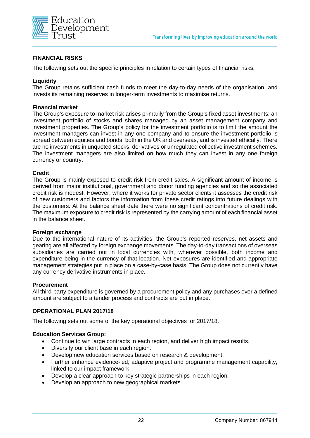

#### **FINANCIAL RISKS**

The following sets out the specific principles in relation to certain types of financial risks.

#### **Liquidity**

The Group retains sufficient cash funds to meet the day-to-day needs of the organisation, and invests its remaining reserves in longer-term investments to maximise returns.

#### **Financial market**

The Group's exposure to market risk arises primarily from the Group's fixed asset investments: an investment portfolio of stocks and shares managed by an asset management company and investment properties. The Group's policy for the investment portfolio is to limit the amount the investment managers can invest in any one company and to ensure the investment portfolio is spread between equities and bonds, both in the UK and overseas, and is invested ethically. There are no investments in unquoted stocks, derivatives or unregulated collective investment schemes. The investment managers are also limited on how much they can invest in any one foreign currency or country.

#### **Credit**

The Group is mainly exposed to credit risk from credit sales. A significant amount of income is derived from major institutional, government and donor funding agencies and so the associated credit risk is modest. However, where it works for private sector clients it assesses the credit risk of new customers and factors the information from these credit ratings into future dealings with the customers. At the balance sheet date there were no significant concentrations of credit risk. The maximum exposure to credit risk is represented by the carrying amount of each financial asset in the balance sheet.

#### **Foreign exchange**

Due to the international nature of its activities, the Group's reported reserves, net assets and gearing are all affected by foreign exchange movements. The day-to-day transactions of overseas subsidiaries are carried out in local currencies with, wherever possible, both income and expenditure being in the currency of that location. Net exposures are identified and appropriate management strategies put in place on a case-by-case basis. The Group does not currently have any currency derivative instruments in place.

#### **Procurement**

All third-party expenditure is governed by a procurement policy and any purchases over a defined amount are subject to a tender process and contracts are put in place.

#### **OPERATIONAL PLAN 2017/18**

The following sets out some of the key operational objectives for 2017/18.

#### **Education Services Group:**

- Continue to win large contracts in each region, and deliver high impact results.
- Diversify our client base in each region.
- Develop new education services based on research & development.
- Further enhance evidence-led, adaptive project and programme management capability, linked to our impact framework.
- Develop a clear approach to key strategic partnerships in each region.
- Develop an approach to new geographical markets.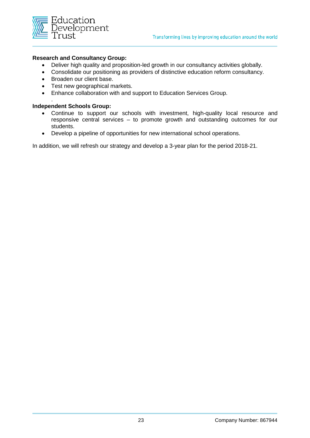

#### **Research and Consultancy Group:**

- Deliver high quality and proposition-led growth in our consultancy activities globally.
- Consolidate our positioning as providers of distinctive education reform consultancy.
- Broaden our client base.
- Test new geographical markets.
- Enhance collaboration with and support to Education Services Group.

#### . **Independent Schools Group:**

- Continue to support our schools with investment, high-quality local resource and responsive central services – to promote growth and outstanding outcomes for our students.
- Develop a pipeline of opportunities for new international school operations.

In addition, we will refresh our strategy and develop a 3-year plan for the period 2018-21.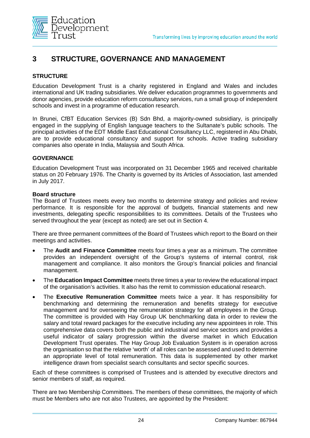

# **3 STRUCTURE, GOVERNANCE AND MANAGEMENT**

#### **STRUCTURE**

Education Development Trust is a charity registered in England and Wales and includes international and UK trading subsidiaries. We deliver education programmes to governments and donor agencies, provide education reform consultancy services, run a small group of independent schools and invest in a programme of education research.

In Brunei, CfBT Education Services (B) Sdn Bhd, a majority-owned subsidiary, is principally engaged in the supplying of English language teachers to the Sultanate's public schools. The principal activities of the EDT Middle East Educational Consultancy LLC, registered in Abu Dhabi, are to provide educational consultancy and support for schools. Active trading subsidiary companies also operate in India, Malaysia and South Africa.

#### **GOVERNANCE**

Education Development Trust was incorporated on 31 December 1965 and received charitable status on 20 February 1976. The Charity is governed by its Articles of Association, last amended in July 2017.

#### **Board structure**

The Board of Trustees meets every two months to determine strategy and policies and review performance. It is responsible for the approval of budgets, financial statements and new investments, delegating specific responsibilities to its committees. Details of the Trustees who served throughout the year (except as noted) are set out in Section 4.

There are three permanent committees of the Board of Trustees which report to the Board on their meetings and activities.

- The **Audit and Finance Committee** meets four times a year as a minimum. The committee provides an independent oversight of the Group's systems of internal control, risk management and compliance. It also monitors the Group's financial policies and financial management.
- The **Education Impact Committee** meets three times a year to review the educational impact of the organisation's activities. It also has the remit to commission educational research.
- The **Executive Remuneration Committee** meets twice a year. It has responsibility for benchmarking and determining the remuneration and benefits strategy for executive management and for overseeing the remuneration strategy for all employees in the Group. The committee is provided with Hay Group UK benchmarking data in order to review the salary and total reward packages for the executive including any new appointees in role. This comprehensive data covers both the public and industrial and service sectors and provides a useful indicator of salary progression within the diverse market in which Education Development Trust operates. The Hay Group Job Evaluation System is in operation across the organisation so that the relative 'worth' of all roles can be assessed and used to determine an appropriate level of total remuneration. This data is supplemented by other market intelligence drawn from specialist search consultants and sector specific sources.

Each of these committees is comprised of Trustees and is attended by executive directors and senior members of staff, as required.

There are two Membership Committees. The members of these committees, the majority of which must be Members who are not also Trustees, are appointed by the President: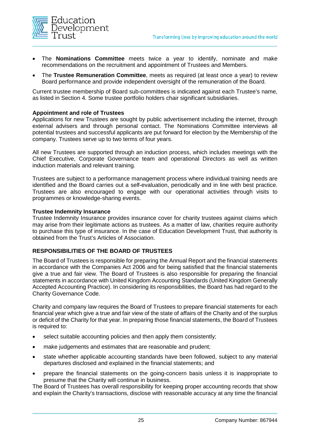

- The **Nominations Committee** meets twice a year to identify, nominate and make recommendations on the recruitment and appointment of Trustees and Members.
- The **Trustee Remuneration Committee**, meets as required (at least once a year) to review Board performance and provide independent oversight of the remuneration of the Board.

Current trustee membership of Board sub-committees is indicated against each Trustee's name, as listed in Section 4. Some trustee portfolio holders chair significant subsidiaries.

#### **Appointment and role of Trustees**

Applications for new Trustees are sought by public advertisement including the internet, through external advisers and through personal contact. The Nominations Committee interviews all potential trustees and successful applicants are put forward for election by the Membership of the company. Trustees serve up to two terms of four years.

All new Trustees are supported through an induction process, which includes meetings with the Chief Executive, Corporate Governance team and operational Directors as well as written induction materials and relevant training.

Trustees are subject to a performance management process where individual training needs are identified and the Board carries out a self-evaluation, periodically and in line with best practice. Trustees are also encouraged to engage with our operational activities through visits to programmes or knowledge-sharing events.

#### **Trustee Indemnity Insurance**

Trustee Indemnity Insurance provides insurance cover for charity trustees against claims which may arise from their legitimate actions as trustees. As a matter of law, charities require authority to purchase this type of insurance. In the case of Education Development Trust, that authority is obtained from the Trust's Articles of Association.

#### **RESPONSIBILITIES OF THE BOARD OF TRUSTEES**

The Board of Trustees is responsible for preparing the Annual Report and the financial statements in accordance with the Companies Act 2006 and for being satisfied that the financial statements give a true and fair view. The Board of Trustees is also responsible for preparing the financial statements in accordance with United Kingdom Accounting Standards (United Kingdom Generally Accepted Accounting Practice). In considering its responsibilities, the Board has had regard to the Charity Governance Code.

Charity and company law requires the Board of Trustees to prepare financial statements for each financial year which give a true and fair view of the state of affairs of the Charity and of the surplus or deficit of the Charity for that year. In preparing those financial statements, the Board of Trustees is required to:

- select suitable accounting policies and then apply them consistently;
- make judgements and estimates that are reasonable and prudent;
- state whether applicable accounting standards have been followed, subject to any material departures disclosed and explained in the financial statements; and
- prepare the financial statements on the going-concern basis unless it is inappropriate to presume that the Charity will continue in business.

The Board of Trustees has overall responsibility for keeping proper accounting records that show and explain the Charity's transactions, disclose with reasonable accuracy at any time the financial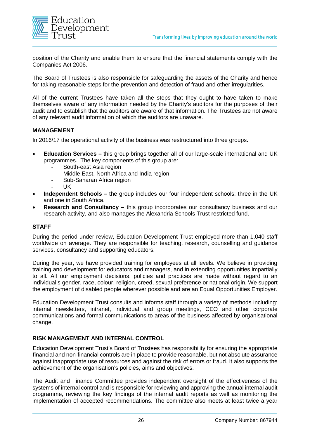

position of the Charity and enable them to ensure that the financial statements comply with the Companies Act 2006.

The Board of Trustees is also responsible for safeguarding the assets of the Charity and hence for taking reasonable steps for the prevention and detection of fraud and other irregularities.

All of the current Trustees have taken all the steps that they ought to have taken to make themselves aware of any information needed by the Charity's auditors for the purposes of their audit and to establish that the auditors are aware of that information. The Trustees are not aware of any relevant audit information of which the auditors are unaware.

#### **MANAGEMENT**

In 2016/17 the operational activity of the business was restructured into three groups.

- **Education Services –** this group brings together all of our large-scale international and UK programmes. The key components of this group are:
	- South-east Asia region
	- Middle East, North Africa and India region
	- Sub-Saharan Africa region
	- UK
- **Independent Schools –** the group includes our four independent schools: three in the UK and one in South Africa.
- **Research and Consultancy –** this group incorporates our consultancy business and our research activity, and also manages the Alexandria Schools Trust restricted fund.

#### **STAFF**

During the period under review, Education Development Trust employed more than 1,040 staff worldwide on average. They are responsible for teaching, research, counselling and guidance services, consultancy and supporting educators.

During the year, we have provided training for employees at all levels. We believe in providing training and development for educators and managers, and in extending opportunities impartially to all. All our employment decisions, policies and practices are made without regard to an individual's gender, race, colour, religion, creed, sexual preference or national origin. We support the employment of disabled people wherever possible and are an Equal Opportunities Employer.

Education Development Trust consults and informs staff through a variety of methods including: internal newsletters, intranet, individual and group meetings, CEO and other corporate communications and formal communications to areas of the business affected by organisational change.

#### **RISK MANAGEMENT AND INTERNAL CONTROL**

Education Development Trust's Board of Trustees has responsibility for ensuring the appropriate financial and non-financial controls are in place to provide reasonable, but not absolute assurance against inappropriate use of resources and against the risk of errors or fraud. It also supports the achievement of the organisation's policies, aims and objectives.

The Audit and Finance Committee provides independent oversight of the effectiveness of the systems of internal control and is responsible for reviewing and approving the annual internal audit programme, reviewing the key findings of the internal audit reports as well as monitoring the implementation of accepted recommendations. The committee also meets at least twice a year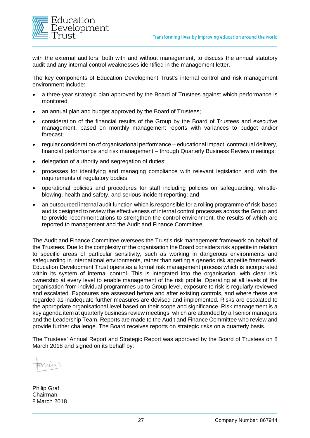

with the external auditors, both with and without management, to discuss the annual statutory audit and any internal control weaknesses identified in the management letter.

The key components of Education Development Trust's internal control and risk management environment include:

- a three-year strategic plan approved by the Board of Trustees against which performance is monitored;
- an annual plan and budget approved by the Board of Trustees;
- consideration of the financial results of the Group by the Board of Trustees and executive management, based on monthly management reports with variances to budget and/or forecast;
- regular consideration of organisational performance educational impact, contractual delivery, financial performance and risk management – through Quarterly Business Review meetings;
- delegation of authority and segregation of duties;
- processes for identifying and managing compliance with relevant legislation and with the requirements of requilatory bodies;
- operational policies and procedures for staff including policies on safeguarding, whistleblowing, health and safety, and serious incident reporting; and
- an outsourced internal audit function which is responsible for a rolling programme of risk-based audits designed to review the effectiveness of internal control processes across the Group and to provide recommendations to strengthen the control environment, the results of which are reported to management and the Audit and Finance Committee.

The Audit and Finance Committee oversees the Trust's risk management framework on behalf of the Trustees. Due to the complexity of the organisation the Board considers risk appetite in relation to specific areas of particular sensitivity, such as working in dangerous environments and safeguarding in international environments, rather than setting a generic risk appetite framework. Education Development Trust operates a formal risk management process which is incorporated within its system of internal control. This is integrated into the organisation, with clear risk ownership at every level to enable management of the risk profile. Operating at all levels of the organisation from individual programmes up to Group level, exposure to risk is regularly reviewed and escalated. Exposures are assessed before and after existing controls, and where these are regarded as inadequate further measures are devised and implemented. Risks are escalated to the appropriate organisational level based on their scope and significance. Risk management is a key agenda item at quarterly business review meetings, which are attended by all senior managers and the Leadership Team. Reports are made to the Audit and Finance Committee who review and provide further challenge. The Board receives reports on strategic risks on a quarterly basis.

The Trustees' Annual Report and Strategic Report was approved by the Board of Trustees on 8 March 2018 and signed on its behalf by:

Anh

Philip Graf Chairman 8 March 2018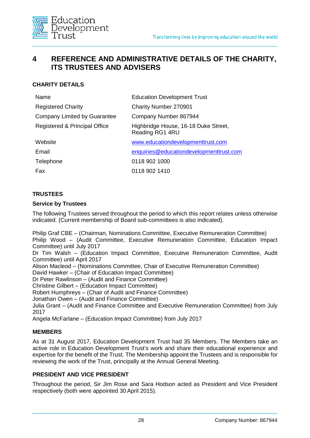

# **4 REFERENCE AND ADMINISTRATIVE DETAILS OF THE CHARITY, ITS TRUSTEES AND ADVISERS**

### **CHARITY DETAILS**

| Name                          | <b>Education Development Trust</b>                      |
|-------------------------------|---------------------------------------------------------|
| <b>Registered Charity</b>     | Charity Number 270901                                   |
| Company Limited by Guarantee  | Company Number 867944                                   |
| Registered & Principal Office | Highbridge House, 16-18 Duke Street,<br>Reading RG1 4RU |
| Website                       | www.educationdevelopmenttrust.com                       |
| Email                         | enquiries@educationdevelopmenttrust.com                 |
| Telephone                     | 0118 902 1000                                           |
| Fax                           | 0118 902 1410                                           |

#### **TRUSTEES**

#### **Service by Trustees**

The following Trustees served throughout the period to which this report relates unless otherwise indicated. (Current membership of Board sub-committees is also indicated).

Philip Graf CBE – (Chairman, Nominations Committee, Executive Remuneration Committee) Philip Wood – (Audit Committee, Executive Remuneration Committee, Education Impact Committee) until July 2017

Dr Tim Walsh – (Education Impact Committee, Executive Remuneration Committee, Audit Committee) until April 2017

Alison Macleod – (Nominations Committee, Chair of Executive Remuneration Committee)

David Hawker – (Chair of Education Impact Committee)

Dr Peter Rawlinson – (Audit and Finance Committee)

Christine Gilbert – (Education Impact Committee)

Robert Humphreys – (Chair of Audit and Finance Committee)

Jonathan Owen – (Audit and Finance Committee)

Julia Grant – (Audit and Finance Committee and Executive Remuneration Committee) from July 2017

Angela McFarlane – (Education Impact Committee) from July 2017

#### **MEMBERS**

As at 31 August 2017, Education Development Trust had 35 Members. The Members take an active role in Education Development Trust's work and share their educational experience and expertise for the benefit of the Trust. The Membership appoint the Trustees and is responsible for reviewing the work of the Trust, principally at the Annual General Meeting.

#### **PRESIDENT AND VICE PRESIDENT**

Throughout the period, Sir Jim Rose and Sara Hodson acted as President and Vice President respectively (both were appointed 30 April 2015).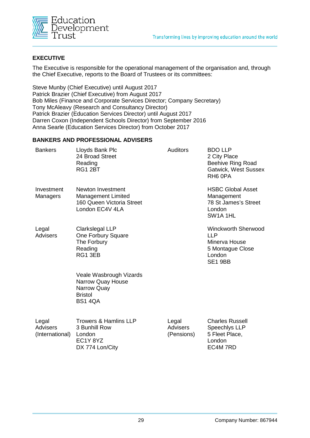

#### **EXECUTIVE**

The Executive is responsible for the operational management of the organisation and, through the Chief Executive, reports to the Board of Trustees or its committees:

Steve Munby (Chief Executive) until August 2017 Patrick Brazier (Chief Executive) from August 2017 Bob Miles (Finance and Corporate Services Director; Company Secretary) Tony McAleavy (Research and Consultancy Director) Patrick Brazier (Education Services Director) until August 2017 Darren Coxon (Independent Schools Director) from September 2016 Anna Searle (Education Services Director) from October 2017

#### **BANKERS AND PROFESSIONAL ADVISERS**

| <b>Bankers</b>                              | Lloyds Bank Plc<br>24 Broad Street<br>Reading<br>RG1 2BT                                        | <b>Auditors</b>                        | <b>BDO LLP</b><br>2 City Place<br><b>Beehive Ring Road</b><br><b>Gatwick, West Sussex</b><br>RH <sub>6</sub> OPA |
|---------------------------------------------|-------------------------------------------------------------------------------------------------|----------------------------------------|------------------------------------------------------------------------------------------------------------------|
| Investment<br>Managers                      | Newton Investment<br><b>Management Limited</b><br>160 Queen Victoria Street<br>London EC4V 4LA  |                                        | <b>HSBC Global Asset</b><br>Management<br>78 St James's Street<br>London<br>SW <sub>1</sub> A <sub>1HL</sub>     |
| Legal<br><b>Advisers</b>                    | Clarkslegal LLP<br>One Forbury Square<br>The Forbury<br>Reading<br>RG1 3EB                      |                                        | <b>Winckworth Sherwood</b><br><b>LLP</b><br>Minerva House<br>5 Montague Close<br>London<br>SE1 9BB               |
|                                             | Veale Wasbrough Vizards<br>Narrow Quay House<br>Narrow Quay<br><b>Bristol</b><br><b>BS1 4QA</b> |                                        |                                                                                                                  |
| Legal<br>Advisers<br>(International) London | <b>Trowers &amp; Hamlins LLP</b><br>3 Bunhill Row<br>EC1Y 8YZ<br>DX 774 Lon/City                | Legal<br><b>Advisers</b><br>(Pensions) | <b>Charles Russell</b><br>Speechlys LLP<br>5 Fleet Place,<br>London<br>EC4M 7RD                                  |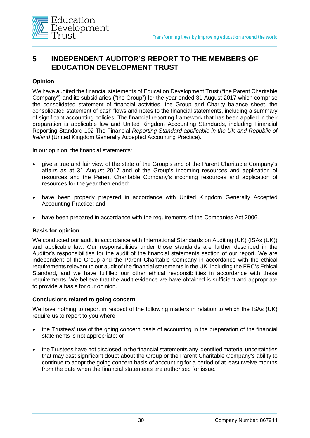

# **5 INDEPENDENT AUDITOR'S REPORT TO THE MEMBERS OF EDUCATION DEVELOPMENT TRUST**

#### **Opinion**

We have audited the financial statements of Education Development Trust ("the Parent Charitable Company") and its subsidiaries ("the Group") for the year ended 31 August 2017 which comprise the consolidated statement of financial activities, the Group and Charity balance sheet, the consolidated statement of cash flows and notes to the financial statements, including a summary of significant accounting policies. The financial reporting framework that has been applied in their preparation is applicable law and United Kingdom Accounting Standards, including Financial Reporting Standard 102 The Financial *Reporting Standard applicable in the UK and Republic of Ireland* (United Kingdom Generally Accepted Accounting Practice).

In our opinion, the financial statements:

- give a true and fair view of the state of the Group's and of the Parent Charitable Company's affairs as at 31 August 2017 and of the Group's incoming resources and application of resources and the Parent Charitable Company's incoming resources and application of resources for the year then ended;
- have been properly prepared in accordance with United Kingdom Generally Accepted Accounting Practice; and
- have been prepared in accordance with the requirements of the Companies Act 2006.

#### **Basis for opinion**

We conducted our audit in accordance with International Standards on Auditing (UK) (ISAs (UK)) and applicable law. Our responsibilities under those standards are further described in the Auditor's responsibilities for the audit of the financial statements section of our report. We are independent of the Group and the Parent Charitable Company in accordance with the ethical requirements relevant to our audit of the financial statements in the UK, including the FRC's Ethical Standard, and we have fulfilled our other ethical responsibilities in accordance with these requirements. We believe that the audit evidence we have obtained is sufficient and appropriate to provide a basis for our opinion.

#### **Conclusions related to going concern**

We have nothing to report in respect of the following matters in relation to which the ISAs (UK) require us to report to you where:

- the Trustees' use of the going concern basis of accounting in the preparation of the financial statements is not appropriate; or
- the Trustees have not disclosed in the financial statements any identified material uncertainties that may cast significant doubt about the Group or the Parent Charitable Company's ability to continue to adopt the going concern basis of accounting for a period of at least twelve months from the date when the financial statements are authorised for issue.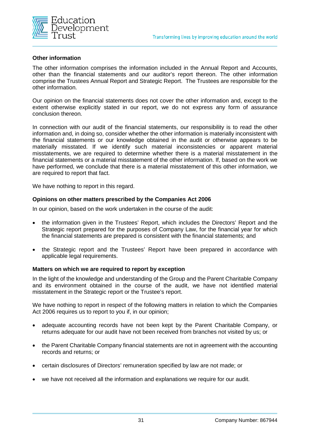

#### **Other information**

The other information comprises the information included in the Annual Report and Accounts, other than the financial statements and our auditor's report thereon. The other information comprise the Trustees Annual Report and Strategic Report. The Trustees are responsible for the other information.

Our opinion on the financial statements does not cover the other information and, except to the extent otherwise explicitly stated in our report, we do not express any form of assurance conclusion thereon.

In connection with our audit of the financial statements, our responsibility is to read the other information and, in doing so, consider whether the other information is materially inconsistent with the financial statements or our knowledge obtained in the audit or otherwise appears to be materially misstated. If we identify such material inconsistencies or apparent material misstatements, we are required to determine whether there is a material misstatement in the financial statements or a material misstatement of the other information. If, based on the work we have performed, we conclude that there is a material misstatement of this other information, we are required to report that fact.

We have nothing to report in this regard.

#### **Opinions on other matters prescribed by the Companies Act 2006**

In our opinion, based on the work undertaken in the course of the audit:

- the information given in the Trustees' Report, which includes the Directors' Report and the Strategic report prepared for the purposes of Company Law, for the financial year for which the financial statements are prepared is consistent with the financial statements; and
- the Strategic report and the Trustees' Report have been prepared in accordance with applicable legal requirements.

#### **Matters on which we are required to report by exception**

In the light of the knowledge and understanding of the Group and the Parent Charitable Company and its environment obtained in the course of the audit, we have not identified material misstatement in the Strategic report or the Trustee's report.

We have nothing to report in respect of the following matters in relation to which the Companies Act 2006 requires us to report to you if, in our opinion;

- adequate accounting records have not been kept by the Parent Charitable Company, or returns adequate for our audit have not been received from branches not visited by us; or
- the Parent Charitable Company financial statements are not in agreement with the accounting records and returns; or
- certain disclosures of Directors' remuneration specified by law are not made; or
- we have not received all the information and explanations we require for our audit.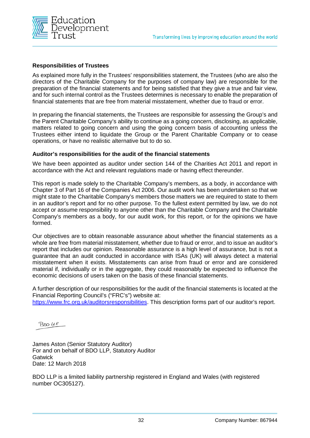

#### **Responsibilities of Trustees**

As explained more fully in the Trustees' responsibilities statement, the Trustees (who are also the directors of the Charitable Company for the purposes of company law) are responsible for the preparation of the financial statements and for being satisfied that they give a true and fair view, and for such internal control as the Trustees determines is necessary to enable the preparation of financial statements that are free from material misstatement, whether due to fraud or error.

In preparing the financial statements, the Trustees are responsible for assessing the Group's and the Parent Charitable Company's ability to continue as a going concern, disclosing, as applicable, matters related to going concern and using the going concern basis of accounting unless the Trustees either intend to liquidate the Group or the Parent Charitable Company or to cease operations, or have no realistic alternative but to do so.

#### **Auditor's responsibilities for the audit of the financial statements**

We have been appointed as auditor under section 144 of the Charities Act 2011 and report in accordance with the Act and relevant regulations made or having effect thereunder.

This report is made solely to the Charitable Company's members, as a body, in accordance with Chapter 3 of Part 16 of the Companies Act 2006. Our audit work has been undertaken so that we might state to the Charitable Company's members those matters we are required to state to them in an auditor's report and for no other purpose. To the fullest extent permitted by law, we do not accept or assume responsibility to anyone other than the Charitable Company and the Charitable Company's members as a body, for our audit work, for this report, or for the opinions we have formed.

Our objectives are to obtain reasonable assurance about whether the financial statements as a whole are free from material misstatement, whether due to fraud or error, and to issue an auditor's report that includes our opinion. Reasonable assurance is a high level of assurance, but is not a guarantee that an audit conducted in accordance with ISAs (UK) will always detect a material misstatement when it exists. Misstatements can arise from fraud or error and are considered material if, individually or in the aggregate, they could reasonably be expected to influence the economic decisions of users taken on the basis of these financial statements.

A further description of our responsibilities for the audit of the financial statements is located at the Financial Reporting Council's ("FRC's") website at:

[https://www.frc.org.uk/auditorsresponsibilities.](https://www.frc.org.uk/auditorsresponsibilities) This description forms part of our auditor's report.

 $B$ no  $\mu$ e

James Aston (Senior Statutory Auditor) For and on behalf of BDO LLP, Statutory Auditor **Gatwick** Date: 12 March 2018

BDO LLP is a limited liability partnership registered in England and Wales (with registered number OC305127).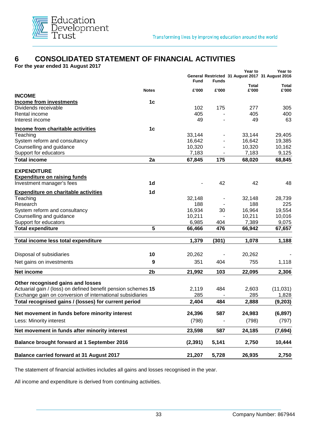

# **6 CONSOLIDATED STATEMENT OF FINANCIAL ACTIVITIES**

**For the year ended 31 August 2017**

|                                                               |                | Fund     | <b>Funds</b> | Year to<br>General Restricted 31 August 2017 31 August 2016 | Year to      |
|---------------------------------------------------------------|----------------|----------|--------------|-------------------------------------------------------------|--------------|
|                                                               |                |          |              | <b>Total</b>                                                | <b>Total</b> |
| <b>INCOME</b>                                                 | <b>Notes</b>   | £'000    | £'000        | £'000                                                       | £'000        |
| <b>Income from investments</b>                                | 1 <sub>c</sub> |          |              |                                                             |              |
| Dividends receivable                                          |                | 102      | 175          | 277                                                         | 305          |
| Rental income                                                 |                | 405      |              | 405                                                         | 400          |
| Interest income                                               |                | 49       |              | 49                                                          | 63           |
| Income from charitable activities                             | 1 <sub>c</sub> |          |              |                                                             |              |
| Teaching                                                      |                | 33,144   |              | 33,144                                                      | 29,405       |
| System reform and consultancy                                 |                | 16,642   |              | 16,642                                                      | 19,385       |
| Counselling and guidance                                      |                | 10,320   |              | 10,320                                                      | 10,162       |
| Support for educators                                         |                | 7,183    |              | 7,183                                                       | 9,125        |
| <b>Total income</b>                                           | 2a             | 67,845   | 175          | 68,020                                                      | 68,845       |
| <b>EXPENDITURE</b>                                            |                |          |              |                                                             |              |
| <b>Expenditure on raising funds</b>                           |                |          |              |                                                             |              |
| Investment manager's fees                                     | 1d             |          | 42           | 42                                                          | 48           |
| <b>Expenditure on charitable activities</b>                   | 1d             |          |              |                                                             |              |
| Teaching                                                      |                | 32,148   |              | 32,148                                                      | 28,739       |
| Research                                                      |                | 188      |              | 188                                                         | 225          |
| System reform and consultancy                                 |                | 16,934   | 30           | 16,964                                                      | 19,554       |
| Counselling and guidance                                      |                | 10,211   |              | 10,211                                                      | 10,016       |
| Support for educators                                         |                | 6,985    | 404          | 7,389                                                       | 9,075        |
| <b>Total expenditure</b>                                      | 5              | 66,466   | 476          | 66,942                                                      | 67,657       |
| Total income less total expenditure                           |                | 1,379    | (301)        | 1,078                                                       | 1,188        |
|                                                               |                |          |              |                                                             |              |
| Disposal of subsidiaries                                      | 10             | 20,262   |              | 20,262                                                      |              |
| Net gains on investments                                      | 9              | 351      | 404          | 755                                                         | 1,118        |
| Net income                                                    | 2b             | 21,992   | 103          | 22,095                                                      | 2,306        |
| Other recognised gains and losses                             |                |          |              |                                                             |              |
| Actuarial gain / (loss) on defined benefit pension schemes 15 |                | 2,119    | 484          | 2,603                                                       | (11, 031)    |
| Exchange gain on conversion of international subsidiaries     |                | 285      |              | 285                                                         | 1,828        |
| Total recognised gains / (losses) for current period          |                | 2,404    | 484          | 2,888                                                       | (9, 203)     |
| Net movement in funds before minority interest                |                | 24,396   | 587          | 24,983                                                      | (6, 897)     |
|                                                               |                |          |              |                                                             |              |
| Less: Minority interest                                       |                | (798)    |              | (798)                                                       | (797)        |
| Net movement in funds after minority interest                 |                | 23,598   | 587          | 24,185                                                      | (7,694)      |
| Balance brought forward at 1 September 2016                   |                | (2, 391) | 5,141        | 2,750                                                       | 10,444       |
| <b>Balance carried forward at 31 August 2017</b>              |                | 21,207   | 5,728        | 26,935                                                      | 2,750        |

The statement of financial activities includes all gains and losses recognised in the year.

All income and expenditure is derived from continuing activities.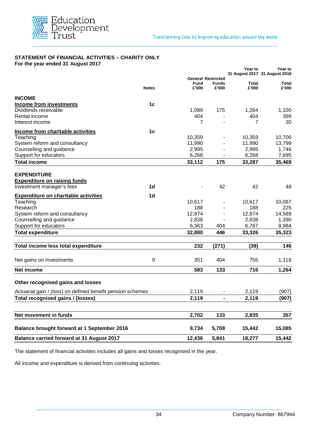

#### **STATEMENT OF FINANCIAL ACTIVITIES – CHARITY ONLY For the year ended 31 August 2017**

|                                                            |                |                           |              | <b>Year to</b> | Year to<br>31 August 2017 31 August 2016 |
|------------------------------------------------------------|----------------|---------------------------|--------------|----------------|------------------------------------------|
|                                                            |                | <b>General Restricted</b> |              |                |                                          |
|                                                            |                | <b>Fund</b>               | <b>Funds</b> | Total          | Total                                    |
|                                                            | <b>Notes</b>   | £'000                     | £'000        | £'000          | £'000                                    |
| <b>INCOME</b>                                              |                |                           |              |                |                                          |
| <b>Income from investments</b>                             | 1 <sub>c</sub> |                           |              |                |                                          |
| Dividends receivable                                       |                | 1,089                     | 175          | 1,264          | 1,100                                    |
| Rental income                                              |                | 404                       |              | 404            | 399                                      |
| Interest income                                            |                | 7                         |              | 7              | 30                                       |
|                                                            |                |                           |              |                |                                          |
| Income from charitable activities                          | 1 <sub>c</sub> |                           |              |                |                                          |
| Teaching                                                   |                | 10,359                    |              | 10,359         | 10,700                                   |
| System reform and consultancy                              |                | 11,990                    |              | 11,990         | 13,799                                   |
| Counselling and guidance                                   |                | 2,995                     |              | 2,995          | 1,746                                    |
| Support for educators                                      |                | 6,268                     |              | 6,268          | 7,695                                    |
| <b>Total income</b>                                        |                | 33,112                    | 175          | 33,287         | 35,469                                   |
|                                                            |                |                           |              |                |                                          |
| <b>EXPENDITURE</b>                                         |                |                           |              |                |                                          |
| <b>Expenditure on raising funds</b>                        |                |                           |              |                |                                          |
| Investment manager's fees                                  | 1 <sub>d</sub> |                           | 42           | 42             | 48                                       |
| <b>Expenditure on charitable activities</b>                | 1d             |                           |              |                |                                          |
| Teaching                                                   |                | 10,617                    |              | 10,617         | 10,087                                   |
| Research                                                   |                | 188                       |              | 188            | 225                                      |
| System reform and consultancy                              |                | 12,874                    |              | 12,874         | 14,589                                   |
| Counselling and guidance                                   |                | 2,838                     |              | 2,838          | 1,390                                    |
| Support for educators                                      |                | 6,363                     | 404          | 6,767          | 8,984                                    |
| <b>Total expenditure</b>                                   |                | 32,880                    | 446          | 33,326         | 35,323                                   |
|                                                            |                |                           |              |                |                                          |
| Total income less total expenditure                        |                | 232                       | (271)        | (39)           | 146                                      |
|                                                            |                |                           |              |                |                                          |
| Net gains on investments                                   | 9              | 351                       | 404          | 755            | 1,118                                    |
| Net income                                                 |                | 583                       | 133          | 716            | 1,264                                    |
|                                                            |                |                           |              |                |                                          |
| Other recognised gains and losses                          |                |                           |              |                |                                          |
| Actuarial gain / (loss) on defined benefit pension schemes |                | 2,119                     |              | 2,119          | (907)                                    |
| Total recognised gains / (losses)                          |                | 2,119                     |              | 2,119          | (907)                                    |
|                                                            |                |                           |              |                |                                          |
| Net movement in funds                                      |                | 2,702                     | 133          | 2,835          | 357                                      |
|                                                            |                |                           |              |                |                                          |
| <b>Balance brought forward at 1 September 2016</b>         |                | 9,734                     | 5,708        | 15,442         | 15,085                                   |
| <b>Balance carried forward at 31 August 2017</b>           |                | 12,436                    | 5,841        | 18,277         | 15,442                                   |

The statement of financial activities includes all gains and losses recognised in the year.

All income and expenditure is derived from continuing activities.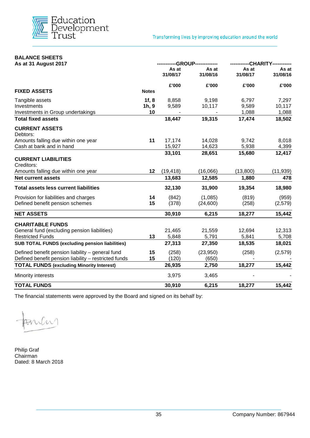

# **BALANCE SHEETS**

| As at 31 August 2017                                   |              | -----------GROUP------------- |                         | -----------CHARITY----------- |                   |
|--------------------------------------------------------|--------------|-------------------------------|-------------------------|-------------------------------|-------------------|
|                                                        |              | As at<br>31/08/17             | As at<br>31/08/16       | As at<br>31/08/17             | As at<br>31/08/16 |
|                                                        |              | £'000                         | £'000                   | £'000                         | £'000             |
| <b>FIXED ASSETS</b>                                    | <b>Notes</b> |                               |                         |                               |                   |
| Tangible assets                                        | 1f, 8        | 8,858                         | 9,198                   | 6,797                         | 7,297             |
| Investments                                            | 1h, 9        | 9,589                         | 10,117                  | 9,589                         | 10,117            |
| Investments in Group undertakings                      | 10           | $\blacksquare$                | $\sim 100$ km s $^{-1}$ | 1,088                         | 1,088             |
| <b>Total fixed assets</b>                              |              | 18,447                        | 19,315                  | 17,474                        | 18,502            |
| <b>CURRENT ASSETS</b><br>Debtors:                      |              |                               |                         |                               |                   |
| Amounts falling due within one year                    | 11           | 17,174                        | 14,028                  | 9,742                         | 8,018             |
| Cash at bank and in hand                               |              | 15,927                        | 14,623                  | 5,938                         | 4,399             |
|                                                        |              | 33,101                        | 28,651                  | 15,680                        | 12,417            |
| <b>CURRENT LIABILITIES</b><br>Creditors:               |              |                               |                         |                               |                   |
| Amounts falling due within one year                    | $12 \,$      | (19, 418)                     | (16,066)                | (13,800)                      | (11, 939)         |
| <b>Net current assets</b>                              |              | 13,683                        | 12,585                  | 1,880                         | 478               |
| <b>Total assets less current liabilities</b>           |              | 32,130                        | 31,900                  | 19,354                        | 18,980            |
| Provision for liabilities and charges                  | 14           | (842)                         | (1,085)                 | (819)                         | (959)             |
| Defined benefit pension schemes                        | 15           | (378)                         | (24,600)                | (258)                         | (2,579)           |
| <b>NET ASSETS</b>                                      |              | 30,910                        | 6,215                   | 18,277                        | 15,442            |
| <b>CHARITABLE FUNDS</b>                                |              |                               |                         |                               |                   |
| General fund (excluding pension liabilities)           |              | 21,465                        | 21,559                  | 12,694                        | 12,313            |
| <b>Restricted Funds</b>                                | 13           | 5,848                         | 5,791                   | 5,841                         | 5,708             |
| <b>SUB TOTAL FUNDS (excluding pension liabilities)</b> |              | 27,313                        | 27,350                  | 18,535                        | 18,021            |
| Defined benefit pension liability - general fund       | 15           | (258)                         | (23,950)                | (258)                         | (2,579)           |
| Defined benefit pension liability - restricted funds   | 15           | (120)                         | (650)                   |                               |                   |
| <b>TOTAL FUNDS (excluding Minority Interest)</b>       |              | 26,935                        | 2,750                   | 18,277                        | 15,442            |
| Minority interests                                     |              | 3,975                         | 3,465                   |                               |                   |
| <b>TOTAL FUNDS</b>                                     |              | 30,910                        | 6,215                   | 18,277                        | 15,442            |

The financial statements were approved by the Board and signed on its behalf by:

mbn

Philip Graf Chairman Dated: 8 March 2018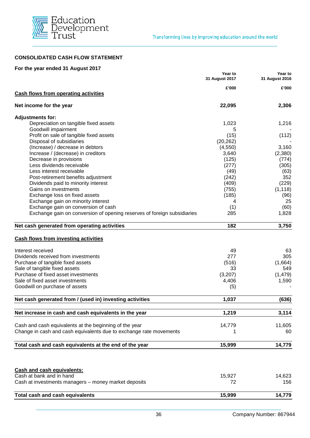

#### **CONSOLIDATED CASH FLOW STATEMENT**

| For the year ended 31 August 2017                                       |                           |                           |
|-------------------------------------------------------------------------|---------------------------|---------------------------|
|                                                                         | Year to<br>31 August 2017 | Year to<br>31 August 2016 |
| <b>Cash flows from operating activities</b>                             | £'000                     | £'000                     |
| Net income for the year                                                 | 22,095                    | 2,306                     |
| <b>Adjustments for:</b>                                                 |                           |                           |
| Depreciation on tangible fixed assets                                   | 1,023                     | 1,216                     |
| Goodwill impairment                                                     | 5                         |                           |
| Profit on sale of tangible fixed assets                                 | (15)                      | (112)                     |
| Disposal of subsidiaries                                                | (20, 262)                 |                           |
| (Increase) / decrease in debtors                                        | (4,550)                   | 3,160                     |
| Increase / (decrease) in creditors                                      | 3,640                     | (2,380)                   |
| Decrease in provisions                                                  | (125)                     | (774)                     |
| Less dividends receivable                                               | (277)                     | (305)                     |
| Less interest receivable                                                | (49)                      | (63)                      |
| Post-retirement benefits adjustment                                     | (242)                     | 352                       |
| Dividends paid to minority interest                                     | (409)                     | (229)                     |
| Gains on investments                                                    | (755)                     | (1, 118)                  |
| Exchange loss on fixed assets                                           | (185)                     | (96)                      |
| Exchange gain on minority interest                                      | 4                         | 25                        |
| Exchange gain on conversion of cash                                     | (1)                       | (60)                      |
| Exchange gain on conversion of opening reserves of foreign subsidiaries | 285                       | 1,828                     |
| Net cash generated from operating activities                            | 182                       | 3,750                     |
| <b>Cash flows from investing activities</b>                             |                           |                           |
| Interest received                                                       | 49                        | 63                        |
| Dividends received from investments                                     | 277                       | 305                       |
| Purchase of tangible fixed assets                                       | (516)                     | (1,664)                   |
| Sale of tangible fixed assets                                           | 33                        | 549                       |
| Purchase of fixed asset investments                                     | (3,207)                   | (1, 479)                  |
| Sale of fixed asset investments                                         | 4,406                     | 1,590                     |
| Goodwill on purchase of assets                                          | (5)                       |                           |
| Net cash generated from / (used in) investing activities                | 1,037                     | (636)                     |
|                                                                         |                           |                           |
| Net increase in cash and cash equivalents in the year                   | 1,219                     | 3,114                     |
| Cash and cash equivalents at the beginning of the year                  | 14,779                    | 11,605                    |
| Change in cash and cash equivalents due to exchange rate movements      |                           | 60                        |
| Total cash and cash equivalents at the end of the year                  | 15,999                    | 14,779                    |
|                                                                         |                           |                           |
| <b>Cash and cash equivalents:</b>                                       |                           |                           |
| Cash at bank and in hand                                                | 15,927                    | 14,623                    |
| Cash at investments managers - money market deposits                    | 72                        | 156                       |
| <b>Total cash and cash equivalents</b>                                  | 15,999                    | 14,779                    |
|                                                                         |                           |                           |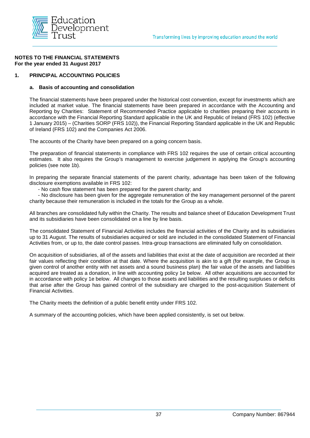

#### **1. PRINCIPAL ACCOUNTING POLICIES**

#### **a. Basis of accounting and consolidation**

The financial statements have been prepared under the historical cost convention, except for investments which are included at market value. The financial statements have been prepared in accordance with the Accounting and Reporting by Charities: Statement of Recommended Practice applicable to charities preparing their accounts in accordance with the Financial Reporting Standard applicable in the UK and Republic of Ireland (FRS 102) (effective 1 January 2015) – (Charities SORP (FRS 102)), the Financial Reporting Standard applicable in the UK and Republic of Ireland (FRS 102) and the Companies Act 2006.

The accounts of the Charity have been prepared on a going concern basis.

The preparation of financial statements in compliance with FRS 102 requires the use of certain critical accounting estimates. It also requires the Group's management to exercise judgement in applying the Group's accounting policies (see note 1b).

In preparing the separate financial statements of the parent charity, advantage has been taken of the following disclosure exemptions available in FRS 102:

- No cash flow statement has been prepared for the parent charity; and

 - No disclosure has been given for the aggregate remuneration of the key management personnel of the parent charity because their remuneration is included in the totals for the Group as a whole.

All branches are consolidated fully within the Charity. The results and balance sheet of Education Development Trust and its subsidiaries have been consolidated on a line by line basis.

The consolidated Statement of Financial Activities includes the financial activities of the Charity and its subsidiaries up to 31 August. The results of subsidiaries acquired or sold are included in the consolidated Statement of Financial Activities from, or up to, the date control passes. Intra-group transactions are eliminated fully on consolidation.

On acquisition of subsidiaries, all of the assets and liabilities that exist at the date of acquisition are recorded at their fair values reflecting their condition at that date. Where the acquisition is akin to a gift (for example, the Group is given control of another entity with net assets and a sound business plan) the fair value of the assets and liabilities acquired are treated as a donation, in line with accounting policy 1e below. All other acquisitions are accounted for in accordance with policy 1e below. All changes to those assets and liabilities and the resulting surpluses or deficits that arise after the Group has gained control of the subsidiary are charged to the post-acquisition Statement of Financial Activities.

The Charity meets the definition of a public benefit entity under FRS 102.

A summary of the accounting policies, which have been applied consistently, is set out below.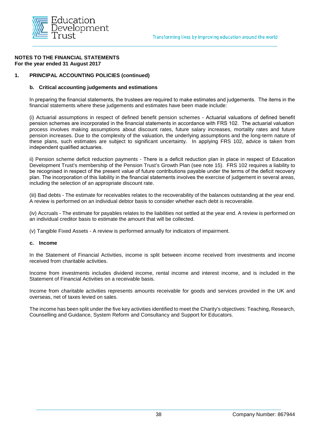

#### **1. PRINCIPAL ACCOUNTING POLICIES (continued)**

#### **b. Critical accounting judgements and estimations**

In preparing the financial statements, the trustees are required to make estimates and judgements. The items in the financial statements where these judgements and estimates have been made include:

(i) Actuarial assumptions in respect of defined benefit pension schemes - Actuarial valuations of defined benefit pension schemes are incorporated in the financial statements in accordance with FRS 102. The actuarial valuation process involves making assumptions about discount rates, future salary increases, mortality rates and future pension increases. Due to the complexity of the valuation, the underlying assumptions and the long-term nature of these plans, such estimates are subject to significant uncertainty. In applying FRS 102, advice is taken from independent qualified actuaries.

ii) Pension scheme deficit reduction payments - There is a deficit reduction plan in place in respect of Education Development Trust's membership of the Pension Trust's Growth Plan (see note 15). FRS 102 requires a liability to be recognised in respect of the present value of future contributions payable under the terms of the deficit recovery plan. The incorporation of this liability in the financial statements involves the exercise of judgement in several areas, including the selection of an appropriate discount rate.

(iii) Bad debts - The estimate for receivables relates to the recoverability of the balances outstanding at the year end. A review is performed on an individual debtor basis to consider whether each debt is recoverable.

(iv) Accruals - The estimate for payables relates to the liabilities not settled at the year end. A review is performed on an individual creditor basis to estimate the amount that will be collected.

(v) Tangible Fixed Assets - A review is performed annually for indicators of impairment.

#### **c. Income**

In the Statement of Financial Activities, income is split between income received from investments and income received from charitable activities.

Income from investments includes dividend income, rental income and interest income, and is included in the Statement of Financial Activities on a receivable basis.

Income from charitable activities represents amounts receivable for goods and services provided in the UK and overseas, net of taxes levied on sales.

The income has been split under the five key activities identified to meet the Charity's objectives: Teaching, Research, Counselling and Guidance, System Reform and Consultancy and Support for Educators.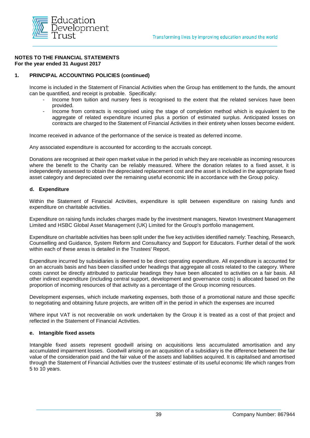

#### **1. PRINCIPAL ACCOUNTING POLICIES (continued)**

Income is included in the Statement of Financial Activities when the Group has entitlement to the funds, the amount can be quantified, and receipt is probable. Specifically:

- Income from tuition and nursery fees is recognised to the extent that the related services have been provided.
- Income from contracts is recognised using the stage of completion method which is equivalent to the aggregate of related expenditure incurred plus a portion of estimated surplus. Anticipated losses on contracts are charged to the Statement of Financial Activities in their entirety when losses become evident.

Income received in advance of the performance of the service is treated as deferred income.

Any associated expenditure is accounted for according to the accruals concept.

Donations are recognised at their open market value in the period in which they are receivable as incoming resources where the benefit to the Charity can be reliably measured. Where the donation relates to a fixed asset, it is independently assessed to obtain the depreciated replacement cost and the asset is included in the appropriate fixed asset category and depreciated over the remaining useful economic life in accordance with the Group policy.

#### **d. Expenditure**

Within the Statement of Financial Activities, expenditure is split between expenditure on raising funds and expenditure on charitable activities.

Expenditure on raising funds includes charges made by the investment managers, Newton Investment Management Limited and HSBC Global Asset Management (UK) Limited for the Group's portfolio management.

Expenditure on charitable activities has been split under the five key activities identified namely: Teaching, Research, Counselling and Guidance, System Reform and Consultancy and Support for Educators. Further detail of the work within each of these areas is detailed in the Trustees' Report.

Expenditure incurred by subsidiaries is deemed to be direct operating expenditure. All expenditure is accounted for on an accruals basis and has been classified under headings that aggregate all costs related to the category. Where costs cannot be directly attributed to particular headings they have been allocated to activities on a fair basis. All other indirect expenditure (including central support, development and governance costs) is allocated based on the proportion of incoming resources of that activity as a percentage of the Group incoming resources.

Development expenses, which include marketing expenses, both those of a promotional nature and those specific to negotiating and obtaining future projects, are written off in the period in which the expenses are incurred

Where input VAT is not recoverable on work undertaken by the Group it is treated as a cost of that project and reflected in the Statement of Financial Activities.

#### **e. Intangible fixed assets**

Intangible fixed assets represent goodwill arising on acquisitions less accumulated amortisation and any accumulated impairment losses. Goodwill arising on an acquisition of a subsidiary is the difference between the fair value of the consideration paid and the fair value of the assets and liabilities acquired. It is capitalised and amortised through the Statement of Financial Activities over the trustees' estimate of its useful economic life which ranges from 5 to 10 years.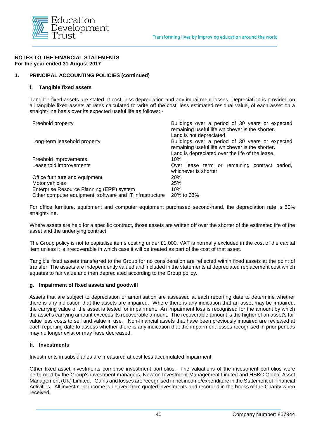

#### **1. PRINCIPAL ACCOUNTING POLICIES (continued)**

#### **f. Tangible fixed assets**

Tangible fixed assets are stated at cost, less depreciation and any impairment losses. Depreciation is provided on all tangible fixed assets at rates calculated to write off the cost, less estimated residual value, of each asset on a straight-line basis over its expected useful life as follows: -

| Buildings over a period of 30 years or expected<br>Freehold property<br>remaining useful life whichever is the shorter. |                                                                                                                               |  |
|-------------------------------------------------------------------------------------------------------------------------|-------------------------------------------------------------------------------------------------------------------------------|--|
| Long-term leasehold property                                                                                            | Land is not depreciated<br>Buildings over a period of 30 years or expected<br>remaining useful life whichever is the shorter. |  |
| Freehold improvements                                                                                                   | Land is depreciated over the life of the lease.<br>10%                                                                        |  |
| Leasehold improvements                                                                                                  | Over lease term or remaining contract period,<br>whichever is shorter                                                         |  |
| Office furniture and equipment                                                                                          | 20%                                                                                                                           |  |
| Motor vehicles                                                                                                          | 25%                                                                                                                           |  |
| Enterprise Resource Planning (ERP) system                                                                               | 10%                                                                                                                           |  |
| Other computer equipment, software and IT infrastructure                                                                | 20% to 33%                                                                                                                    |  |

For office furniture, equipment and computer equipment purchased second-hand, the depreciation rate is 50% straight-line.

Where assets are held for a specific contract, those assets are written off over the shorter of the estimated life of the asset and the underlying contract.

The Group policy is not to capitalise items costing under £1,000. VAT is normally excluded in the cost of the capital item unless it is irrecoverable in which case it will be treated as part of the cost of that asset.

Tangible fixed assets transferred to the Group for no consideration are reflected within fixed assets at the point of transfer. The assets are independently valued and included in the statements at depreciated replacement cost which equates to fair value and then depreciated according to the Group policy.

#### **g. Impairment of fixed assets and goodwill**

Assets that are subject to depreciation or amortisation are assessed at each reporting date to determine whether there is any indication that the assets are impaired. Where there is any indication that an asset may be impaired, the carrying value of the asset is tested for impairment. An impairment loss is recognised for the amount by which the asset's carrying amount exceeds its recoverable amount. The recoverable amount is the higher of an asset's fair value less costs to sell and value in use. Non-financial assets that have been previously impaired are reviewed at each reporting date to assess whether there is any indication that the impairment losses recognised in prior periods may no longer exist or may have decreased.

#### **h. Investments**

Investments in subsidiaries are measured at cost less accumulated impairment.

Other fixed asset investments comprise investment portfolios. The valuations of the investment portfolios were performed by the Group's investment managers, Newton Investment Management Limited and HSBC Global Asset Management (UK) Limited. Gains and losses are recognised in net income/expenditure in the Statement of Financial Activities. All investment income is derived from quoted investments and recorded in the books of the Charity when received.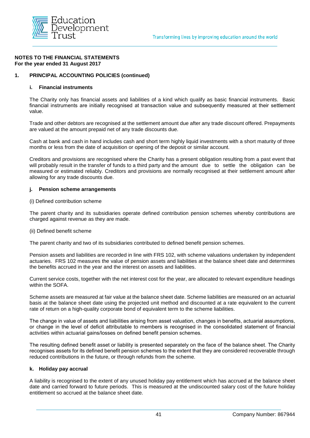

#### **1. PRINCIPAL ACCOUNTING POLICIES (continued)**

#### **i. Financial instruments**

The Charity only has financial assets and liabilities of a kind which qualify as basic financial instruments. Basic financial instruments are initially recognised at transaction value and subsequently measured at their settlement value.

Trade and other debtors are recognised at the settlement amount due after any trade discount offered. Prepayments are valued at the amount prepaid net of any trade discounts due.

Cash at bank and cash in hand includes cash and short term highly liquid investments with a short maturity of three months or less from the date of acquisition or opening of the deposit or similar account.

Creditors and provisions are recognised where the Charity has a present obligation resulting from a past event that will probably result in the transfer of funds to a third party and the amount due to settle the obligation can be measured or estimated reliably. Creditors and provisions are normally recognised at their settlement amount after allowing for any trade discounts due.

#### **j. Pension scheme arrangements**

#### (i) Defined contribution scheme

The parent charity and its subsidiaries operate defined contribution pension schemes whereby contributions are charged against revenue as they are made.

#### (ii) Defined benefit scheme

The parent charity and two of its subsidiaries contributed to defined benefit pension schemes.

Pension assets and liabilities are recorded in line with FRS 102, with scheme valuations undertaken by independent actuaries. FRS 102 measures the value of pension assets and liabilities at the balance sheet date and determines the benefits accrued in the year and the interest on assets and liabilities.

Current service costs, together with the net interest cost for the year, are allocated to relevant expenditure headings within the SOFA.

Scheme assets are measured at fair value at the balance sheet date. Scheme liabilities are measured on an actuarial basis at the balance sheet date using the projected unit method and discounted at a rate equivalent to the current rate of return on a high-quality corporate bond of equivalent term to the scheme liabilities.

The change in value of assets and liabilities arising from asset valuation, changes in benefits, actuarial assumptions, or change in the level of deficit attributable to members is recognised in the consolidated statement of financial activities within actuarial gains/losses on defined benefit pension schemes.

The resulting defined benefit asset or liability is presented separately on the face of the balance sheet. The Charity recognises assets for its defined benefit pension schemes to the extent that they are considered recoverable through reduced contributions in the future, or through refunds from the scheme.

#### **k. Holiday pay accrual**

A liability is recognised to the extent of any unused holiday pay entitlement which has accrued at the balance sheet date and carried forward to future periods. This is measured at the undiscounted salary cost of the future holiday entitlement so accrued at the balance sheet date.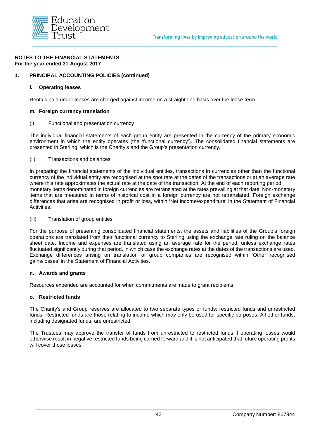

#### **1. PRINCIPAL ACCOUNTING POLICIES (continued)**

#### **l. Operating leases**

Rentals paid under leases are charged against income on a straight-line basis over the lease term.

#### **m. Foreign currency translation**

#### (i) Functional and presentation currency

The individual financial statements of each group entity are presented in the currency of the primary economic environment in which the entity operates (the 'functional currency'). The consolidated financial statements are presented in Sterling, which is the Charity's and the Group's presentation currency.

(ii) Transactions and balances

In preparing the financial statements of the individual entities, transactions in currencies other than the functional currency of the individual entity are recognised at the spot rate at the dates of the transactions or at an average rate where this rate approximates the actual rate at the date of the transaction. At the end of each reporting period, monetary items denominated in foreign currencies are retranslated at the rates prevailing at that date. Non-monetary items that are measured in terms of historical cost in a foreign currency are not retranslated. Foreign exchange differences that arise are recognised in profit or loss, within 'Net income/expenditure' in the Statement of Financial Activities.

#### (iii) Translation of group entities

For the purpose of presenting consolidated financial statements, the assets and liabilities of the Group's foreign operations are translated from their functional currency to Sterling using the exchange rate ruling on the balance sheet date. Income and expenses are translated using an average rate for the period, unless exchange rates fluctuated significantly during that period, in which case the exchange rates at the dates of the transactions are used. Exchange differences arising on translation of group companies are recognised within 'Other recognised gains/losses' in the Statement of Financial Activities.

#### **n. Awards and grants**

Resources expended are accounted for when commitments are made to grant recipients.

#### **o. Restricted funds**

The Charity's and Group reserves are allocated to two separate types or funds: restricted funds and unrestricted funds. Restricted funds are those relating to income which may only be used for specific purposes. All other funds, including designated funds, are unrestricted.

The Trustees may approve the transfer of funds from unrestricted to restricted funds if operating losses would otherwise result in negative restricted funds being carried forward and it is not anticipated that future operating profits will cover those losses.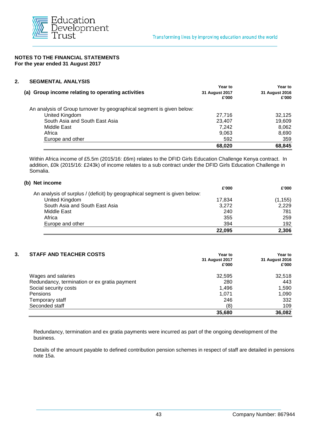

#### **2. SEGMENTAL ANALYSIS**

|                                                                       | Year to                 | <b>Year to</b>          |
|-----------------------------------------------------------------------|-------------------------|-------------------------|
| (a) Group income relating to operating activities                     | 31 August 2017<br>£'000 | 31 August 2016<br>£'000 |
| An analysis of Group turnover by geographical segment is given below: |                         |                         |
| United Kingdom                                                        | 27.716                  | 32.125                  |
| South Asia and South East Asia                                        | 23.407                  | 19,609                  |
| Middle East                                                           | 7.242                   | 8.062                   |
| Africa                                                                | 9,063                   | 8,690                   |
| Europe and other                                                      | 592                     | 359                     |
|                                                                       | 68,020                  | 68,845                  |

Within Africa income of £5.5m (2015/16: £6m) relates to the DFID Girls Education Challenge Kenya contract. In addition, £0k (2015/16: £243k) of income relates to a sub contract under the DFID Girls Education Challenge in Somalia.

|                                                                            | 22,095 | 2,306    |
|----------------------------------------------------------------------------|--------|----------|
| Europe and other                                                           | 394    | 192      |
| Africa                                                                     | 355    | 259      |
| Middle East                                                                | 240    | 781      |
| South Asia and South East Asia                                             | 3,272  | 2,229    |
| United Kingdom                                                             | 17,834 | (1, 155) |
| An analysis of surplus / (deficit) by geographical segment is given below: |        |          |
|                                                                            | £'000  | £'000    |
| (b) Net income                                                             |        |          |

#### **3. STAFF AND TEACHER COSTS Year to Year to**

| <b>STALL AND TEACHER COSTS</b>               | ι ear ιυ       | rear lo        |
|----------------------------------------------|----------------|----------------|
|                                              | 31 August 2017 | 31 August 2016 |
|                                              | £'000          | £'000          |
| Wages and salaries                           | 32,595         | 32,518         |
| Redundancy, termination or ex gratia payment | 280            | 443            |
| Social security costs                        | 1,496          | 1,590          |
| Pensions                                     | 1.071          | 1,090          |
| Temporary staff                              | 246            | 332            |
| Seconded staff                               | (8)            | 109            |
|                                              | 35,680         | 36,082         |

Redundancy, termination and ex gratia payments were incurred as part of the ongoing development of the business.

Details of the amount payable to defined contribution pension schemes in respect of staff are detailed in pensions note 15a.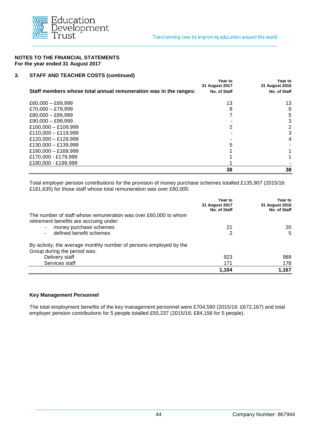

#### **3. STAFF AND TEACHER COSTS (continued)**

|                                                                  | <b>Year to</b><br>31 August 2017 | Year to<br>31 August 2016 |
|------------------------------------------------------------------|----------------------------------|---------------------------|
| Staff members whose total annual remuneration was in the ranges: | No. of Staff                     | No. of Staff              |
| $£60,000 - £69,999$                                              | 13                               | 13                        |
| £70,000 $-$ £79,999                                              | 8                                | 6                         |
| $£80,000 - £89,999$                                              |                                  | 5                         |
| $£90,000 - £99,999$                                              |                                  | 3                         |
| £100,000 - £109,999                                              | 2                                | 2                         |
| £110,000 - £119,999                                              |                                  | 3                         |
| £120,000 - £129,999                                              |                                  | 4                         |
| £130,000 - £139,999                                              | 5                                |                           |
| £160,000 - £169,999                                              |                                  |                           |
| £170,000 - £179,999                                              |                                  |                           |
| £180,000 - £189,999                                              |                                  |                           |
|                                                                  | 38                               | 38                        |

Total employer pension contributions for the provision of money purchase schemes totalled £135,907 (2015/16: £161,635) for those staff whose total remuneration was over £60,000.

|                                                                    | Year to<br>31 August 2017<br>No. of Staff | Year to<br>31 August 2016<br>No. of Staff |
|--------------------------------------------------------------------|-------------------------------------------|-------------------------------------------|
| The number of staff whose remuneration was over £60,000 to whom    |                                           |                                           |
| retirement benefits are accruing under:                            |                                           |                                           |
| money purchase schemes                                             | 21                                        | 20                                        |
| defined benefit schemes                                            |                                           | 5                                         |
| By activity, the average monthly number of persons employed by the |                                           |                                           |
| Group during the period was:                                       |                                           |                                           |
| Delivery staff                                                     | 923                                       | 989                                       |
| Services staff                                                     | 171                                       | 178                                       |
|                                                                    | 1,104                                     | 1,167                                     |

#### **Key Management Personnel**

The total employment benefits of the key management personnel were £704,590 (2015/16: £672,167) and total employer pension contributions for 5 people totalled £55,237 (2015/16; £84,156 for 5 people).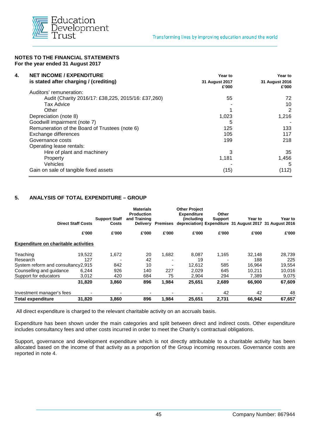

| 4.<br><b>NET INCOME / EXPENDITURE</b>              | Year to                 | Year to                 |
|----------------------------------------------------|-------------------------|-------------------------|
| is stated after charging / (crediting)             | 31 August 2017<br>£'000 | 31 August 2016<br>£'000 |
| Auditors' remuneration:                            |                         |                         |
| Audit (Charity 2016/17: £38,225, 2015/16: £37,260) | 55                      | 72                      |
| <b>Tax Advice</b>                                  |                         | 10                      |
| Other                                              |                         | 2                       |
| Depreciation (note 8)                              | 1,023                   | 1,216                   |
| Goodwill impairment (note 7)                       | 5                       |                         |
| Remuneration of the Board of Trustees (note 6)     | 125                     | 133                     |
| Exchange differences                               | 105                     | 117                     |
| Governance costs                                   | 199                     | 218                     |
| Operating lease rentals:                           |                         |                         |
| Hire of plant and machinery                        | 3                       | 35                      |
| Property                                           | 1,181                   | 1,456                   |
| Vehicles                                           |                         | 5                       |
| Gain on sale of tangible fixed assets              | (15)                    | (112)                   |

#### **5. ANALYSIS OF TOTAL EXPENDITURE – GROUP**

|                                             | <b>Direct Staff Costs</b> | <b>Support Staff</b><br>Costs | <b>Materials</b><br><b>Production</b><br>and Training<br>Delivery | Premises | <b>Other Project</b><br><b>Expenditure</b><br>(including) | Other<br><b>Support</b> | Year to<br>depreciation) Expenditure 31 August 2017 31 August 2016 | Year to |
|---------------------------------------------|---------------------------|-------------------------------|-------------------------------------------------------------------|----------|-----------------------------------------------------------|-------------------------|--------------------------------------------------------------------|---------|
|                                             | £'000                     | £'000                         | £'000                                                             | £'000    | £'000                                                     | £'000                   | £'000                                                              | £'000   |
| <b>Expenditure on charitable activities</b> |                           |                               |                                                                   |          |                                                           |                         |                                                                    |         |
| Teaching                                    | 19.522                    | 1,672                         | 20                                                                | 1,682    | 8.087                                                     | 1,165                   | 32.148                                                             | 28,739  |
| Research                                    | 127                       |                               | 42                                                                |          | 19                                                        |                         | 188                                                                | 225     |
| System reform and consultancy2,915          |                           | 842                           | 10                                                                |          | 12,612                                                    | 585                     | 16,964                                                             | 19,554  |
| Counselling and guidance                    | 6,244                     | 926                           | 140                                                               | 227      | 2.029                                                     | 645                     | 10,211                                                             | 10,016  |
| Support for educators                       | 3,012                     | 420                           | 684                                                               | 75       | 2,904                                                     | 294                     | 7,389                                                              | 9,075   |
|                                             | 31,820                    | 3,860                         | 896                                                               | 1,984    | 25,651                                                    | 2,689                   | 66.900                                                             | 67,609  |
| Investment manager's fees                   |                           |                               |                                                                   |          |                                                           | 42                      | 42                                                                 | 48      |
| <b>Total expenditure</b>                    | 31,820                    | 3,860                         | 896                                                               | 1,984    | 25,651                                                    | 2,731                   | 66,942                                                             | 67,657  |

All direct expenditure is charged to the relevant charitable activity on an accruals basis.

Expenditure has been shown under the main categories and split between direct and indirect costs. Other expenditure includes consultancy fees and other costs incurred in order to meet the Charity's contractual obligations.

Support, governance and development expenditure which is not directly attributable to a charitable activity has been allocated based on the income of that activity as a proportion of the Group incoming resources. Governance costs are reported in note 4.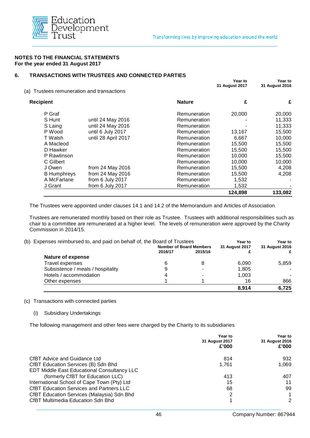

#### **6. TRANSACTIONS WITH TRUSTEES AND CONNECTED PARTIES**

| (a) Trustees remuneration and transactions |                     |               | Year to<br>31 August 2017 | Year to<br>31 August 2016 |
|--------------------------------------------|---------------------|---------------|---------------------------|---------------------------|
| <b>Recipient</b>                           |                     | <b>Nature</b> | £                         | £                         |
| P Graf                                     |                     | Remuneration  | 20,000                    | 20,000                    |
| S Hunt                                     | until 24 May 2016   | Remuneration  |                           | 11,333                    |
| S Laing                                    | until 24 May 2016   | Remuneration  |                           | 11,333                    |
| P Wood                                     | until 6 July 2017   | Remuneration  | 13,167                    | 15,500                    |
| T Walsh                                    | until 28 April 2017 | Remuneration  | 6,667                     | 10,000                    |
| A Macleod                                  |                     | Remuneration  | 15,500                    | 15,500                    |
| D Hawker                                   |                     | Remuneration  | 15,500                    | 15,500                    |
| P Rawlinson                                |                     | Remuneration  | 10,000                    | 15,500                    |
| C Gilbert                                  |                     | Remuneration  | 10,000                    | 10,000                    |
| J Owen                                     | from 24 May 2016    | Remuneration  | 15,500                    | 4,208                     |
| <b>B</b> Humphreys                         | from 24 May 2016    | Remuneration  | 15,500                    | 4,208                     |
| A McFarlane                                | from 6 July 2017    | Remuneration  | 1,532                     |                           |
| J Grant                                    | from 6 July 2017    | Remuneration  | 1,532                     |                           |
|                                            |                     |               | 124,898                   | 133,082                   |

The Trustees were appointed under clauses 14.1 and 14.2 of the Memorandum and Articles of Association.

Trustees are remunerated monthly based on their role as Trustee. Trustees with additional responsibilities such as chair to a committee are remunerated at a higher level. The levels of remuneration were approved by the Charity Commission in 2014/15.

| (b) Expenses reimbursed to, and paid on behalf of, the Board of Trustees |                                | Year to | <b>Year to</b>        |                |  |
|--------------------------------------------------------------------------|--------------------------------|---------|-----------------------|----------------|--|
|                                                                          | <b>Number of Board Members</b> |         | <b>31 August 2017</b> | 31 August 2016 |  |
|                                                                          | 2016/17                        | 2015/16 |                       |                |  |
| <b>Nature of expense</b>                                                 |                                |         |                       |                |  |
| Travel expenses                                                          |                                | 8       | 6,090                 | 5,859          |  |
| Subsistence / meals / hospitality                                        |                                |         | 1,805                 |                |  |
| Hotels / accommodation                                                   |                                |         | 1.003                 |                |  |
| Other expenses                                                           |                                |         | 16                    | 866            |  |
|                                                                          |                                |         | 8.914                 | 6.725          |  |

#### (c) Transactions with connected parties

(i) Subsidiary Undertakings

The following management and other fees were charged by the Charity to its subsidiaries

|                                                 | Year to<br>31 August 2017<br>£'000 | Year to<br>31 August 2016<br>£'000 |
|-------------------------------------------------|------------------------------------|------------------------------------|
| CfBT Advice and Guidance Ltd                    | 814                                | 932                                |
| CfBT Education Services (B) Sdn Bhd             | 1.761                              | 1.069                              |
| EDT Middle East Educational Consultancy LLC     |                                    |                                    |
| (formerly CfBT for Education LLC)               | 413                                | 407                                |
| International School of Cape Town (Pty) Ltd     | 15                                 | 11                                 |
| <b>CfBT Education Services and Partners LLC</b> | 68                                 | 99                                 |
| CfBT Education Services (Malaysia) Sdn Bhd      | 2                                  | 1                                  |
| <b>CfBT Multimedia Education Sdn Bhd</b>        |                                    | 2                                  |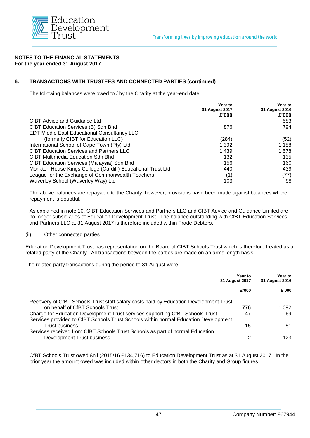

#### **6. TRANSACTIONS WITH TRUSTEES AND CONNECTED PARTIES (continued)**

The following balances were owed to / by the Charity at the year-end date:

|                                                             | Year to<br>31 August 2017<br>£'000 | Year to<br>31 August 2016<br>£'000 |
|-------------------------------------------------------------|------------------------------------|------------------------------------|
|                                                             |                                    |                                    |
| CfBT Advice and Guidance Ltd                                |                                    | 583                                |
| CfBT Education Services (B) Sdn Bhd                         | 876                                | 794                                |
| <b>EDT Middle East Educational Consultancy LLC</b>          |                                    |                                    |
| (formerly CfBT for Education LLC)                           | (284)                              | (52)                               |
| International School of Cape Town (Pty) Ltd                 | 1.392                              | 1,188                              |
| <b>CfBT Education Services and Partners LLC</b>             | 1,439                              | 1,578                              |
| CfBT Multimedia Education Sdn Bhd                           | 132                                | 135                                |
| <b>CfBT Education Services (Malaysia) Sdn Bhd</b>           | 156                                | 160                                |
| Monkton House Kings College (Cardiff) Educational Trust Ltd | 440                                | 439                                |
| League for the Exchange of Commonwealth Teachers            | (1)                                | (77)                               |
| Waverley School (Waverley Way) Ltd                          | 103                                | 98                                 |

The above balances are repayable to the Charity; however, provisions have been made against balances where repayment is doubtful.

As explained in note 10, CfBT Education Services and Partners LLC and CfBT Advice and Guidance Limited are no longer subsidiaries of Education Development Trust. The balance outstanding with CfBT Education Services and Partners LLC at 31 August 2017 is therefore included within Trade Debtors.

#### (ii) Other connected parties

Education Development Trust has representation on the Board of CfBT Schools Trust which is therefore treated as a related party of the Charity. All transactions between the parties are made on an arms length basis.

The related party transactions during the period to 31 August were:

|                                                                                                                                                                      | Year to<br>31 August 2017 | Year to<br>31 August 2016 |  |
|----------------------------------------------------------------------------------------------------------------------------------------------------------------------|---------------------------|---------------------------|--|
|                                                                                                                                                                      | £'000                     | £'000                     |  |
| Recovery of CfBT Schools Trust staff salary costs paid by Education Development Trust<br>on behalf of CfBT Schools Trust                                             | 776                       | 1.092                     |  |
| Charge for Education Development Trust services supporting CfBT Schools Trust<br>Services provided to CfBT Schools Trust Schools within normal Education Development | 47                        | 69                        |  |
| Trust business<br>Services received from CfBT Schools Trust Schools as part of normal Education                                                                      | 15                        | 51                        |  |
| Development Trust business                                                                                                                                           | 2                         | 123.                      |  |

CfBT Schools Trust owed £nil (2015/16 £134,716) to Education Development Trust as at 31 August 2017. In the prior year the amount owed was included within other debtors in both the Charity and Group figures.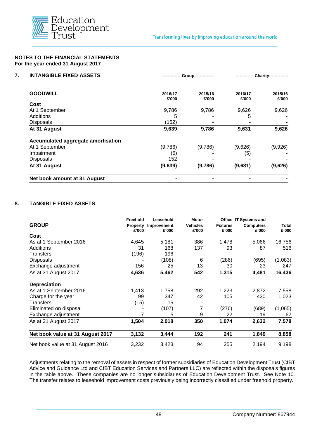

| <b>INTANGIBLE FIXED ASSETS</b>     |                                      | -Group-------------- | -Charity-------------- |                  |  |
|------------------------------------|--------------------------------------|----------------------|------------------------|------------------|--|
| <b>GOODWILL</b>                    | 2015/16<br>2016/17<br>£'000<br>£'000 |                      | 2016/17<br>£'000       | 2015/16<br>£'000 |  |
| Cost                               |                                      |                      |                        |                  |  |
| At 1 September                     | 9,786                                | 9,786                | 9,626                  | 9,626            |  |
| <b>Additions</b>                   | 5                                    |                      | 5                      |                  |  |
| <b>Disposals</b>                   | (152)                                |                      |                        |                  |  |
| At 31 August                       | 9,639                                | 9,786                | 9,631                  | 9,626            |  |
| Accumulated aggregate amortisation |                                      |                      |                        |                  |  |
| At 1 September                     | (9,786)                              | (9,786)              | (9,626)                | (9,926)          |  |
| Impairment                         | (5)                                  |                      | (5)                    |                  |  |
| <b>Disposals</b>                   | 152                                  |                      |                        |                  |  |
| At 31 August                       | (9,639)                              | (9,786)              | (9,631)                | (9,626)          |  |
| Net book amount at 31 August       |                                      |                      |                        |                  |  |

#### **8. TANGIBLE FIXED ASSETS**

|                                  | Freehold                 | Leasehold            | <b>Motor</b>             |                          | Office IT Systems and     |                |
|----------------------------------|--------------------------|----------------------|--------------------------|--------------------------|---------------------------|----------------|
| <b>GROUP</b>                     | <b>Property</b><br>£'000 | Improvement<br>£'000 | <b>Vehicles</b><br>£'000 | <b>Fixtures</b><br>£'000 | <b>Computers</b><br>£'000 | Total<br>£'000 |
| Cost                             |                          |                      |                          |                          |                           |                |
| As at 1 September 2016           | 4,645                    | 5,181                | 386                      | 1,478                    | 5,066                     | 16,756         |
| Additions                        | 31                       | 168                  | 137                      | 93                       | 87                        | 516            |
| Transfers                        | (196)                    | 196                  |                          |                          |                           |                |
| <b>Disposals</b>                 |                          | (108)                | 6                        | (286)                    | (695)                     | (1,083)        |
| Exchange adjustment              | 156                      | 25                   | 13                       | 30                       | 23                        | 247            |
| As at 31 August 2017             | 4,636                    | 5,462                | 542                      | 1,315                    | 4,481                     | 16,436         |
| <b>Depreciation</b>              |                          |                      |                          |                          |                           |                |
| As at 1 September 2016           | 1,413                    | 1,758                | 292                      | 1,223                    | 2,872                     | 7,558          |
| Charge for the year              | 99                       | 347                  | 42                       | 105                      | 430                       | 1,023          |
| Transfers                        | (15)                     | 15                   |                          |                          |                           |                |
| Eliminated on disposal           |                          | (107)                | 7                        | (276)                    | (689)                     | (1,065)        |
| Exchange adjustment              |                          | 5                    | 9                        | 22                       | 19                        | 62             |
| As at 31 August 2017             | 1,504                    | 2,018                | 350                      | 1,074                    | 2,632                     | 7,578          |
| Net book value at 31 August 2017 | 3,132                    | 3,444                | 192                      | 241                      | 1,849                     | 8,858          |
| Net book value at 31 August 2016 | 3,232                    | 3,423                | 94                       | 255                      | 2,194                     | 9,198          |

Adjustments relating to the removal of assets in respect of former subsidiaries of Education Development Trust (CfBT Advice and Guidance Ltd and CfBT Education Services and Partners LLC) are reflected within the disposals figures in the table above. These companies are no longer subsidiaries of Education Development Trust. See Note 10. The transfer relates to leasehold improvement costs previously being incorrectly classified under freehold property.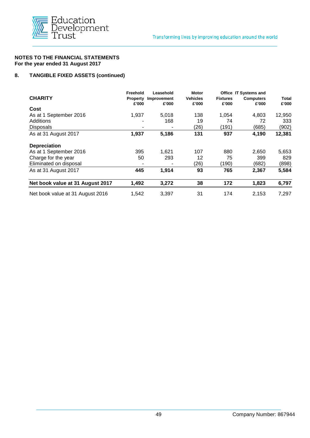

#### **8. TANGIBLE FIXED ASSETS (continued)**

|                                  | Freehold                 | Leasehold            | <b>Motor</b>             |                          | <b>Office IT Systems and</b> |                |
|----------------------------------|--------------------------|----------------------|--------------------------|--------------------------|------------------------------|----------------|
| <b>CHARITY</b>                   | <b>Property</b><br>£'000 | Improvement<br>£'000 | <b>Vehicles</b><br>£'000 | <b>Fixtures</b><br>£'000 | <b>Computers</b><br>£'000    | Total<br>£'000 |
| Cost                             |                          |                      |                          |                          |                              |                |
| As at 1 September 2016           | 1,937                    | 5,018                | 138                      | 1,054                    | 4,803                        | 12,950         |
| Additions                        |                          | 168                  | 19                       | 74                       | 72                           | 333            |
| <b>Disposals</b>                 | ۰                        |                      | (26)                     | (191                     | (685)                        | (902)          |
| As at 31 August 2017             | 1,937                    | 5,186                | 131                      | 937                      | 4,190                        | 12,381         |
| <b>Depreciation</b>              |                          |                      |                          |                          |                              |                |
| As at 1 September 2016           | 395                      | 1,621                | 107                      | 880                      | 2,650                        | 5,653          |
| Charge for the year              | 50                       | 293                  | 12                       | 75                       | 399                          | 829            |
| Eliminated on disposal           | ۰                        |                      | (26)                     | (190)                    | (682)                        | (898)          |
| As at 31 August 2017             | 445                      | 1,914                | 93                       | 765                      | 2,367                        | 5,584          |
| Net book value at 31 August 2017 | 1,492                    | 3,272                | 38                       | 172                      | 1,823                        | 6,797          |
| Net book value at 31 August 2016 | 1.542                    | 3.397                | 31                       | 174                      | 2.153                        | 7,297          |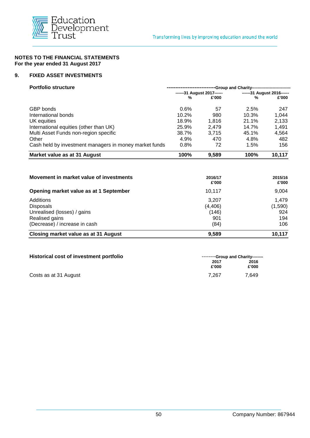

#### **9. FIXED ASSET INVESTMENTS**

| <b>Portfolio structure</b>                             | -Group and Charity--------------------------- |                            |                            |        |  |  |
|--------------------------------------------------------|-----------------------------------------------|----------------------------|----------------------------|--------|--|--|
|                                                        |                                               | ------31 August 2017------ | ------31 August 2016------ |        |  |  |
|                                                        | %                                             | £'000                      | %                          | £'000  |  |  |
| GBP bonds                                              | 0.6%                                          | 57                         | 2.5%                       | 247    |  |  |
| International bonds                                    | 10.2%                                         | 980                        | 10.3%                      | 1,044  |  |  |
| UK equities                                            | 18.9%                                         | 1.816                      | 21.1%                      | 2,133  |  |  |
| International equities (other than UK)                 | 25.9%                                         | 2,479                      | 14.7%                      | 1,491  |  |  |
| Multi Asset Funds non-region specific                  | 38.7%                                         | 3.715                      | 45.1%                      | 4,564  |  |  |
| Other                                                  | 4.9%                                          | 470                        | 4.8%                       | 482    |  |  |
| Cash held by investment managers in money market funds | 0.8%                                          | 72                         | 1.5%                       | 156    |  |  |
| Market value as at 31 August                           | 100%                                          | 9,589                      | 100%                       | 10,117 |  |  |
|                                                        |                                               |                            |                            |        |  |  |

| Movement in market value of investments | 2016/17<br>£'000 | 2015/16<br>£'000 |  |
|-----------------------------------------|------------------|------------------|--|
| Opening market value as at 1 September  | 10,117           | 9,004            |  |
| Additions                               | 3,207            | 1,479            |  |
| <b>Disposals</b>                        | (4, 406)         | (1,590)          |  |
| Unrealised (losses) / gains             | (146)            | 924              |  |
| Realised gains                          | 901              | 194              |  |
| (Decrease) / increase in cash           | (84)             | 106              |  |
| Closing market value as at 31 August    | 9.589            | 10.117           |  |

| Historical cost of investment portfolio | --------Group and Charity-------- |               |  |  |
|-----------------------------------------|-----------------------------------|---------------|--|--|
|                                         | 2017<br>£'000                     | 2016<br>£'000 |  |  |
| Costs as at 31 August                   | 7.267                             | 7.649         |  |  |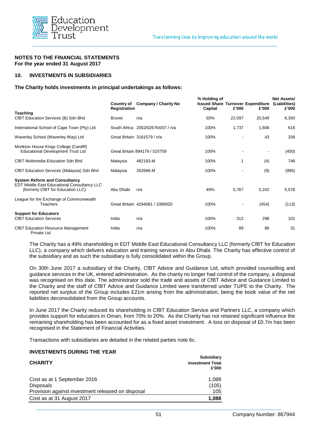

#### **10. INVESTMENTS IN SUBSIDIARIES**

#### **The Charity holds investments in principal undertakings as follows:**

|                                                                                                                                 | Country of<br>Registration | <b>Company / Charity No</b>     | % Holding of<br><b>Issued Share Turnover Expenditure</b><br>Capital | £'000                    | £'000                    | <b>Net Assets/</b><br>(Liabilities)<br>£'000 |
|---------------------------------------------------------------------------------------------------------------------------------|----------------------------|---------------------------------|---------------------------------------------------------------------|--------------------------|--------------------------|----------------------------------------------|
| <b>Teaching</b><br>CfBT Education Services (B) Sdn Bhd                                                                          | <b>Brunei</b>              | n/a                             | 55%                                                                 | 22,097                   | 20,549                   | 6,350                                        |
| International School of Cape Town (Pty) Ltd                                                                                     | South Africa               | 2002/026764/07 / n/a            | 100%                                                                | 1,737                    | 1,606                    | 616                                          |
| Waverley School (Waverley Way) Ltd                                                                                              |                            | Great Britain 3181579 / n/a     | 100%                                                                |                          | 43                       | 336                                          |
| Monkton House Kings College (Cardiff)<br><b>Educational Development Trust Ltd</b>                                               |                            | Great Britain 894179 / 525759   | 100%                                                                |                          | $\overline{\phantom{a}}$ | (450)                                        |
| <b>CfBT Multimedia Education Sdn Bhd</b>                                                                                        | Malaysia                   | 482193-M                        | 100%                                                                | 1                        | (4)                      | 748                                          |
| CfBT Education Services (Malaysia) Sdn Bhd                                                                                      | Malaysia                   | 262696-M                        | 100%                                                                |                          | (9)                      | (995)                                        |
| <b>System Reform and Consultancy</b><br><b>EDT Middle East Educational Consultancy LLC</b><br>(formerly CfBT for Education LLC) | Abu Dhabi                  | n/a                             | 49%                                                                 | 5,767                    | 5,242                    | 5,578                                        |
| League for the Exchange of Commonwealth<br><b>Teachers</b>                                                                      |                            | Great Britain 4294081 / 1089920 | 100%                                                                | $\overline{\phantom{a}}$ | (454)                    | (113)                                        |
| <b>Support for Educators</b><br><b>CfBT Education Services</b>                                                                  | India                      | n/a                             | 100%                                                                | 312                      | 298                      | 101                                          |
| <b>CfBT Education Resource Management</b><br>Private Ltd                                                                        | India                      | n/a                             | 100%                                                                | 89                       | 86                       | 31                                           |

The Charity has a 49% shareholding in EDT Middle East Educational Consultancy LLC (formerly CfBT for Education LLC), a company which delivers education and training services in Abu Dhabi. The Charity has effective control of the subsidiary and as such the subsidiary is fully consolidated within the Group.

On 30th June 2017 a subsidiary of the Charity, CfBT Advice and Guidance Ltd, which provided counselling and guidance services in the UK, entered administration. As the charity no longer had control of the company, a disposal was recognised on this date. The administrator sold the trade and assets of CfBT Advice and Guidance Limited to the Charity and the staff of CfBT Advice and Guidance Limited were transferred under TUPE to the Charity. The reported net surplus of the Group includes £21m arising from the administration, being the book value of the net liabilities deconsolidated from the Group accounts.

In June 2017 the Charity reduced its shareholding in CfBT Education Service and Partners LLC, a company which provides support for educators in Oman, from 70% to 20%. As the Charity has not retained significant influence the remaining shareholding has been accounted for as a fixed asset investment. A loss on disposal of £0.7m has been recognised in the Statement of Financial Activities.

Transactions with subsidiaries are detailed in the related parties note 6c.

#### **INVESTMENTS DURING THE YEAR**

| <b>CHARITY</b>                                    | <b>Subsidiary</b><br><b>Investment Total</b><br>£'000 |
|---------------------------------------------------|-------------------------------------------------------|
| Cost as at 1 September 2016                       | 1,088                                                 |
| Disposals                                         | (105)                                                 |
| Provision against investment released on disposal | 105                                                   |
| Cost as at 31 August 2017                         | 1,088                                                 |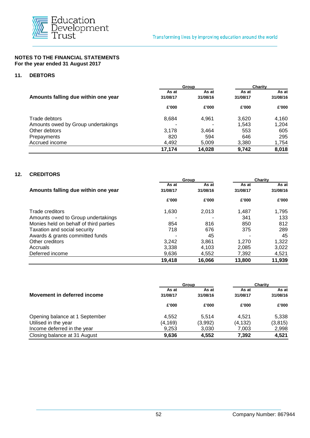

#### **11. DEBTORS**

|                                     |          | Group    | Charity  |          |  |
|-------------------------------------|----------|----------|----------|----------|--|
|                                     | As at    | As at    | As at    | As at    |  |
| Amounts falling due within one year | 31/08/17 | 31/08/16 | 31/08/17 | 31/08/16 |  |
|                                     | £'000    | £'000    | £'000    | £'000    |  |
| Trade debtors                       | 8,684    | 4,961    | 3,620    | 4,160    |  |
| Amounts owed by Group undertakings  | ۰        |          | 1,543    | 1,204    |  |
| Other debtors                       | 3.178    | 3.464    | 553      | 605      |  |
| Prepayments                         | 820      | 594      | 646      | 295      |  |
| Accrued income                      | 4,492    | 5,009    | 3,380    | 1,754    |  |
|                                     | 17,174   | 14,028   | 9,742    | 8,018    |  |

| <b>CREDITORS</b>                       |          |          |          |          |
|----------------------------------------|----------|----------|----------|----------|
|                                        |          | Group    | Charity  |          |
|                                        | As at    | As at    | As at    | As at    |
| Amounts falling due within one year    | 31/08/17 | 31/08/16 | 31/08/17 | 31/08/16 |
|                                        | £'000    | £'000    | £'000    | £'000    |
| <b>Trade creditors</b>                 | 1.630    | 2,013    | 1.487    | 1,795    |
| Amounts owed to Group undertakings     |          |          | 341      | 133      |
| Monies held on behalf of third parties | 854      | 816      | 850      | 812      |
| Taxation and social security           | 718      | 676      | 375      | 289      |
| Awards & grants committed funds        |          | 45       |          | 45       |
| Other creditors                        | 3,242    | 3,861    | 1.270    | 1,322    |
| Accruals                               | 3,338    | 4,103    | 2,085    | 3,022    |
| Deferred income                        | 9,636    | 4,552    | 7,392    | 4,521    |
|                                        | 19,418   | 16,066   | 13,800   | 11,939   |

|                                | Group    | <b>Charity</b> |          |          |
|--------------------------------|----------|----------------|----------|----------|
|                                | As at    | As at          | As at    | As at    |
| Movement in deferred income    | 31/08/17 | 31/08/16       | 31/08/17 | 31/08/16 |
|                                | £'000    | £'000          | £'000    | £'000    |
| Opening balance at 1 September | 4.552    | 5.514          | 4.521    | 5,338    |
| Utilised in the year           | (4, 169) | (3,992)        | (4,132)  | (3, 815) |
| Income deferred in the year    | 9,253    | 3,030          | 7.003    | 2,998    |
| Closing balance at 31 August   | 9,636    | 4.552          | 7,392    | 4,521    |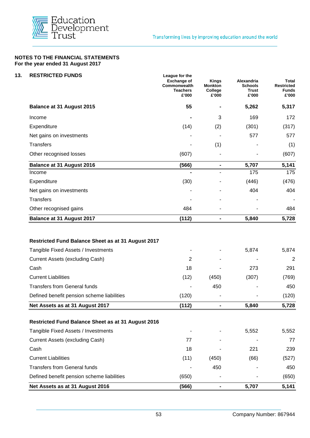

| <b>RESTRICTED FUNDS</b>                                                        | League for the<br><b>Exchange of</b><br>Commonwealth<br><b>Teachers</b><br>£'000 | <b>Kings</b><br>Monkton<br>College<br>£'000                                                                                                               | <b>Alexandria</b><br><b>Schools</b><br><b>Trust</b><br>£'000<br>5,262 | Total<br><b>Restricted</b><br><b>Funds</b><br>£'000 |
|--------------------------------------------------------------------------------|----------------------------------------------------------------------------------|-----------------------------------------------------------------------------------------------------------------------------------------------------------|-----------------------------------------------------------------------|-----------------------------------------------------|
| <b>Balance at 31 August 2015</b>                                               | 55                                                                               |                                                                                                                                                           |                                                                       | 5,317                                               |
| Income                                                                         |                                                                                  | 3                                                                                                                                                         | 169                                                                   | 172                                                 |
| Expenditure                                                                    | (14)                                                                             | (2)                                                                                                                                                       | (301)                                                                 | (317)                                               |
| Net gains on investments                                                       |                                                                                  | 577<br>(1)<br>5,707<br>$\blacksquare$<br>175<br>(446)<br>404<br>5,840<br>$\blacksquare$<br>5,874<br>273<br>(450)<br>(307)<br>450<br>5,840<br>5,552<br>221 | 577                                                                   |                                                     |
| <b>Transfers</b>                                                               |                                                                                  |                                                                                                                                                           |                                                                       | (1)                                                 |
| Other recognised losses                                                        | (607)                                                                            |                                                                                                                                                           |                                                                       | (607)                                               |
| <b>Balance at 31 August 2016</b>                                               | (566)                                                                            |                                                                                                                                                           |                                                                       | 5,141                                               |
| Income                                                                         |                                                                                  |                                                                                                                                                           |                                                                       | 175                                                 |
| Expenditure                                                                    | (30)                                                                             |                                                                                                                                                           |                                                                       | (476)                                               |
| Net gains on investments                                                       |                                                                                  |                                                                                                                                                           |                                                                       | 404                                                 |
| <b>Transfers</b>                                                               |                                                                                  |                                                                                                                                                           |                                                                       | $\blacksquare$                                      |
| Other recognised gains                                                         | 484                                                                              |                                                                                                                                                           |                                                                       | 484                                                 |
| <b>Balance at 31 August 2017</b>                                               | (112)                                                                            |                                                                                                                                                           |                                                                       | 5,728                                               |
| Tangible Fixed Assets / Investments<br>Current Assets (excluding Cash)<br>Cash | 2<br>18                                                                          |                                                                                                                                                           |                                                                       | 5,874<br>$\overline{2}$<br>291                      |
| <b>Current Liabilities</b>                                                     | (12)                                                                             |                                                                                                                                                           |                                                                       | (769)                                               |
| <b>Transfers from General funds</b>                                            |                                                                                  |                                                                                                                                                           |                                                                       | 450                                                 |
| Defined benefit pension scheme liabilities                                     | (120)                                                                            |                                                                                                                                                           |                                                                       | (120)                                               |
| Net Assets as at 31 August 2017                                                | (112)                                                                            |                                                                                                                                                           |                                                                       | 5,728                                               |
| Restricted Fund Balance Sheet as at 31 August 2016                             |                                                                                  |                                                                                                                                                           |                                                                       |                                                     |
| Tangible Fixed Assets / Investments                                            |                                                                                  |                                                                                                                                                           |                                                                       | 5,552                                               |
| Current Assets (excluding Cash)                                                | 77                                                                               |                                                                                                                                                           |                                                                       | 77                                                  |
| Cash                                                                           | 18                                                                               |                                                                                                                                                           |                                                                       | 239                                                 |
| <b>Current Liabilities</b>                                                     | (11)                                                                             | (450)                                                                                                                                                     | (66)                                                                  | (527)                                               |
| <b>Transfers from General funds</b>                                            |                                                                                  | 450                                                                                                                                                       |                                                                       | 450                                                 |
| Defined benefit pension scheme liabilities                                     | (650)                                                                            |                                                                                                                                                           |                                                                       | (650)                                               |
| Net Assets as at 31 August 2016                                                | (566)                                                                            | $\qquad \qquad \blacksquare$                                                                                                                              | 5,707                                                                 | 5,141                                               |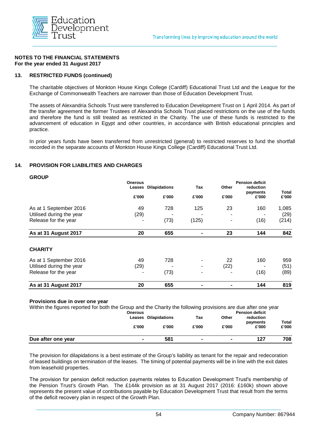

#### **13. RESTRICTED FUNDS (continued)**

The charitable objectives of Monkton House Kings College (Cardiff) Educational Trust Ltd and the League for the Exchange of Commonwealth Teachers are narrower than those of Education Development Trust.

The assets of Alexandria Schools Trust were transferred to Education Development Trust on 1 April 2014. As part of the transfer agreement the former Trustees of Alexandria Schools Trust placed restrictions on the use of the funds and therefore the fund is still treated as restricted in the Charity. The use of these funds is restricted to the advancement of education in Egypt and other countries, in accordance with British educational principles and practice.

In prior years funds have been transferred from unrestricted (general) to restricted reserves to fund the shortfall recorded in the separate accounts of Monkton House Kings College (Cardiff) Educational Trust Ltd.

#### **14. PROVISION FOR LIABILITIES AND CHARGES**

**GROUP**

| -----                    | <b>Onerous</b><br>Leases<br>£'000 | <b>Dilapidations</b><br>£'000 | Tax<br>£'000 | Other<br>£'000 | <b>Pension deficit</b><br>reduction<br>payments<br>£'000 | <b>Total</b><br>£'000 |
|--------------------------|-----------------------------------|-------------------------------|--------------|----------------|----------------------------------------------------------|-----------------------|
| As at 1 September 2016   | 49                                | 728                           | 125          | 23             | 160                                                      | 1,085                 |
| Utilised during the year | (29)                              |                               |              | ۰              |                                                          | (29)                  |
| Release for the year     |                                   | (73)                          | (125)        |                | (16)                                                     | (214)                 |
| As at 31 August 2017     | 20                                | 655                           |              | 23             | 144                                                      | 842                   |
| <b>CHARITY</b>           |                                   |                               |              |                |                                                          |                       |
| As at 1 September 2016   | 49                                | 728                           |              | 22             | 160                                                      | 959                   |
| Utilised during the year | (29)                              |                               | ۰            | (22)           |                                                          | (51)                  |
| Release for the year     |                                   | (73)                          |              |                | (16)                                                     | (89)                  |
| As at 31 August 2017     | 20                                | 655                           |              |                | 144                                                      | 819                   |

#### **Provisions due in over one year**

| Within the figures reported for both the Group and the Charity the following provisions are due after one year<br><b>Onerous</b> |                      |       |                | <b>Pension deficit</b> |       |
|----------------------------------------------------------------------------------------------------------------------------------|----------------------|-------|----------------|------------------------|-------|
|                                                                                                                                  | Leases Dilapidations | Tax   | Other          | reduction              |       |
|                                                                                                                                  |                      |       |                | payments               | Total |
| £'000                                                                                                                            | £'000                | £'000 | £'000          | £'000                  | £'000 |
| Due after one year                                                                                                               | 581                  |       | $\blacksquare$ | 127                    | 708   |

The provision for dilapidations is a best estimate of the Group's liability as tenant for the repair and redecoration of leased buildings on termination of the leases. The timing of potential payments will be in line with the exit dates from leasehold properties.

The provision for pension deficit reduction payments relates to Education Development Trust's membership of the Pension Trust's Growth Plan. The £144k provision as at 31 August 2017 (2016: £160k) shown above represents the present value of contributions payable by Education Development Trust that result from the terms of the deficit recovery plan in respect of the Growth Plan.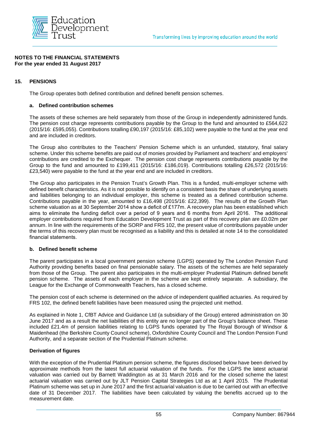

#### **15. PENSIONS**

The Group operates both defined contribution and defined benefit pension schemes.

#### **a. Defined contribution schemes**

The assets of these schemes are held separately from those of the Group in independently administered funds. The pension cost charge represents contributions payable by the Group to the fund and amounted to £564,622 (2015/16: £595,055). Contributions totalling £90,197 (2015/16: £85,102) were payable to the fund at the year end and are included in creditors.

The Group also contributes to the Teachers' Pension Scheme which is an unfunded, statutory, final salary scheme. Under this scheme benefits are paid out of monies provided by Parliament and teachers' and employers' contributions are credited to the Exchequer. The pension cost charge represents contributions payable by the Group to the fund and amounted to £199,411 (2015/16: £186,019). Contributions totalling £26,572 (2015/16: £23,540) were payable to the fund at the year end and are included in creditors.

The Group also participates in the Pension Trust's Growth Plan. This is a funded, multi-employer scheme with defined benefit characteristics. As it is not possible to identify on a consistent basis the share of underlying assets and liabilities belonging to an individual employer, this scheme is treated as a defined contribution scheme. Contributions payable in the year, amounted to £16,498 (2015/16: £22,399). The results of the Growth Plan scheme valuation as at 30 September 2014 show a deficit of £177m. A recovery plan has been established which aims to eliminate the funding deficit over a period of 9 years and 6 months from April 2016. The additional employer contributions required from Education Development Trust as part of this recovery plan are £0.02m per annum. In line with the requirements of the SORP and FRS 102, the present value of contributions payable under the terms of this recovery plan must be recognised as a liability and this is detailed at note 14 to the consolidated financial statements.

#### **b. Defined benefit scheme**

The parent participates in a local government pension scheme (LGPS) operated by The London Pension Fund Authority providing benefits based on final pensionable salary. The assets of the schemes are held separately from those of the Group. The parent also participates in the multi-employer Prudential Platinum defined benefit pension scheme. The assets of each employer in the scheme are kept entirely separate. A subsidiary, the League for the Exchange of Commonwealth Teachers, has a closed scheme.

The pension cost of each scheme is determined on the advice of independent qualified actuaries. As required by FRS 102, the defined benefit liabilities have been measured using the projected unit method.

As explained in Note 1, CfBT Advice and Guidance Ltd (a subsidiary of the Group) entered administration on 30 June 2017 and as a result the net liabilities of this entity are no longer part of the Group's balance sheet. These included £21.4m of pension liabilities relating to LGPS funds operated by The Royal Borough of Windsor & Maidenhead (the Berkshire County Council scheme), Oxfordshire County Council and The London Pension Fund Authority, and a separate section of the Prudential Platinum scheme.

#### **Derivation of figures**

With the exception of the Prudential Platinum pension scheme, the figures disclosed below have been derived by approximate methods from the latest full actuarial valuation of the funds. For the LGPS the latest actuarial valuation was carried out by Barnett Waddington as at 31 March 2016 and for the closed scheme the latest actuarial valuation was carried out by JLT Pension Capital Strategies Ltd as at 1 April 2015. The Prudential Platinum scheme was set up in June 2017 and the first actuarial valuation is due to be carried out with an effective date of 31 December 2017. The liabilities have been calculated by valuing the benefits accrued up to the measurement date.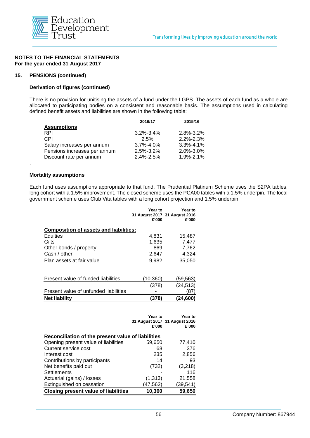

#### **15. PENSIONS (continued)**

#### **Derivation of figures (continued)**

There is no provision for unitising the assets of a fund under the LGPS. The assets of each fund as a whole are allocated to participating bodies on a consistent and reasonable basis. The assumptions used in calculating defined benefit assets and liabilities are shown in the following table:

|                              | 2016/17         | 2015/16         |
|------------------------------|-----------------|-----------------|
| <b>Assumptions</b>           |                 |                 |
| <b>RPI</b>                   | $3.2\% - 3.4\%$ | $2.8\% - 3.2\%$ |
| CPI                          | 2.5%            | $2.2\% - 2.3\%$ |
| Salary increases per annum   | $3.7\% - 4.0\%$ | $3.3\% - 4.1\%$ |
| Pensions increases per annum | $2.5\% - 3.2\%$ | 2.0%-3.0%       |
| Discount rate per annum      | $2.4\% - 2.5\%$ | $1.9\% - 2.1\%$ |

#### **Mortality assumptions**

.

Each fund uses assumptions appropriate to that fund. The Prudential Platinum Scheme uses the S2PA tables, long cohort with a 1.5% improvement. The closed scheme uses the PCA00 tables with a 1.5% underpin. The local government scheme uses Club Vita tables with a long cohort projection and 1.5% underpin.

|                                        | <b>Year to</b><br>£'000 | Year to<br>31 August 2017 31 August 2016<br>£'000 |
|----------------------------------------|-------------------------|---------------------------------------------------|
| Composition of assets and liabilities: |                         |                                                   |
| <b>Equities</b>                        | 4,831                   | 15,487                                            |
| Gilts                                  | 1,635                   | 7,477                                             |
| Other bonds / property                 | 869                     | 7,762                                             |
| Cash / other                           | 2.647                   | 4,324                                             |
| Plan assets at fair value              | 9,982                   | 35,050                                            |
| Present value of funded liabilities    | (10,360)                | (59,563)                                          |
|                                        | (378)                   | (24, 513)                                         |
| Present value of unfunded liabilities  |                         | (87)                                              |
| <b>Net liability</b>                   | (378)                   | (24,600)                                          |

|                                                    | Year to<br>£'000 | Year to<br>31 August 2017 31 August 2016<br>£'000 |
|----------------------------------------------------|------------------|---------------------------------------------------|
| Reconciliation of the present value of liabilities |                  |                                                   |
| Opening present value of liabilities               | 59,650           | 77,410                                            |
| Current service cost                               | 68               | 376                                               |
| Interest cost                                      | 235              | 2,856                                             |
| Contributions by participants                      | 14               | 93                                                |
| Net benefits paid out                              | (732)            | (3,218)                                           |
| Settlements                                        |                  | 116                                               |
| Actuarial (gains) / losses                         | (1, 313)         | 21,558                                            |
| Extinguished on cessation                          | (47,562)         | (39,541)                                          |
| <b>Closing present value of liabilities</b>        | 10,360           | 59,650                                            |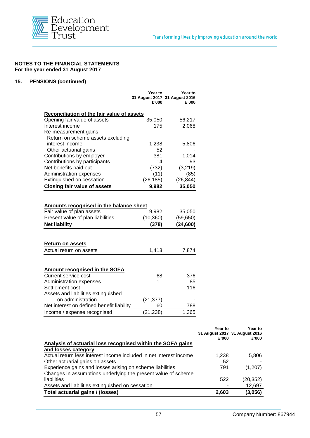

#### **15. PENSIONS (continued)**

|                                                                                                                                                                        | Year to<br>£'000      | Year to<br>31 August 2017 31 August 2016<br>£'000 |
|------------------------------------------------------------------------------------------------------------------------------------------------------------------------|-----------------------|---------------------------------------------------|
| Reconciliation of the fair value of assets                                                                                                                             |                       |                                                   |
| Opening fair value of assets                                                                                                                                           | 35,050                | 56,217                                            |
| Interest income                                                                                                                                                        | 175                   | 2,068                                             |
| Re-measurement gains:                                                                                                                                                  |                       |                                                   |
| Return on scheme assets excluding                                                                                                                                      |                       |                                                   |
| interest income                                                                                                                                                        | 1,238                 | 5,806                                             |
| Other actuarial gains                                                                                                                                                  | 52                    |                                                   |
| Contributions by employer                                                                                                                                              | 381                   | 1,014                                             |
| Contributions by participants                                                                                                                                          | 14                    | 93                                                |
| Net benefits paid out                                                                                                                                                  | (732)                 | (3, 219)                                          |
| Administration expenses                                                                                                                                                | (11)                  | (85)                                              |
| Extinguished on cessation                                                                                                                                              | (26, 185)             | (26, 844)                                         |
| <b>Closing fair value of assets</b>                                                                                                                                    | 9,982                 | 35,050                                            |
| Amounts recognised in the balance sheet<br>Fair value of plan assets                                                                                                   | 9,982                 |                                                   |
| Present value of plan liabilities<br><b>Net liability</b>                                                                                                              | (10, 360)<br>(378)    | 35,050<br>(59, 650)<br>(24, 600)                  |
| <b>Return on assets</b><br>Actual return on assets                                                                                                                     | 1,413                 |                                                   |
| <b>Amount recognised in the SOFA</b><br>Current service cost<br>Administration expenses<br>Settlement cost<br>Assets and liabilities extinguished<br>on administration | 68<br>11<br>(21, 377) |                                                   |
| Net interest on defined benefit liability                                                                                                                              | 60<br>(21, 238)       | 7,874<br>376<br>85<br>116<br>788<br>1,365         |

|                                                                    | Year to<br>£'000 | Year to<br>31 August 2017 31 August 2016<br>£'000 |
|--------------------------------------------------------------------|------------------|---------------------------------------------------|
| Analysis of actuarial loss recognised within the SOFA gains        |                  |                                                   |
| and losses category                                                |                  |                                                   |
| Actual return less interest income included in net interest income | 1,238            | 5,806                                             |
| Other actuarial gains on assets                                    | 52               |                                                   |
| Experience gains and losses arising on scheme liabilities          | 791              | (1,207)                                           |
| Changes in assumptions underlying the present value of scheme      |                  |                                                   |
| liabilities                                                        | 522              | (20,352)                                          |
| Assets and liabilities extinguished on cessation                   |                  | 12,697                                            |
| Total actuarial gains / (losses)                                   | 2,603            | (3,056)                                           |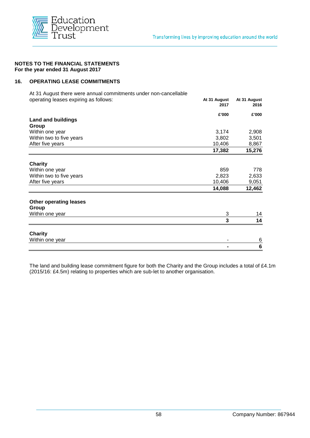

#### **16. OPERATING LEASE COMMITMENTS**

At 31 August there were annual commitments under non-cancellable operating leases expiring as follows: **At 31 August At 31 August**

|                               | 2017   | 2016            |
|-------------------------------|--------|-----------------|
|                               | £'000  | £'000           |
| <b>Land and buildings</b>     |        |                 |
| Group                         |        |                 |
| Within one year               | 3,174  | 2,908           |
| Within two to five years      | 3,802  | 3,501           |
| After five years              | 10,406 | 8,867           |
|                               | 17,382 | 15,276          |
| <b>Charity</b>                |        |                 |
| Within one year               | 859    | 778             |
| Within two to five years      | 2,823  | 2,633           |
| After five years              | 10,406 | 9,051           |
|                               | 14,088 | 12,462          |
| <b>Other operating leases</b> |        |                 |
| Group                         |        |                 |
| Within one year               | 3      | 14              |
|                               | 3      | 14              |
| <b>Charity</b>                |        |                 |
| Within one year               |        | 6               |
|                               |        | $6\phantom{1}6$ |
|                               |        |                 |

The land and building lease commitment figure for both the Charity and the Group includes a total of £4.1m (2015/16: £4.5m) relating to properties which are sub-let to another organisation.